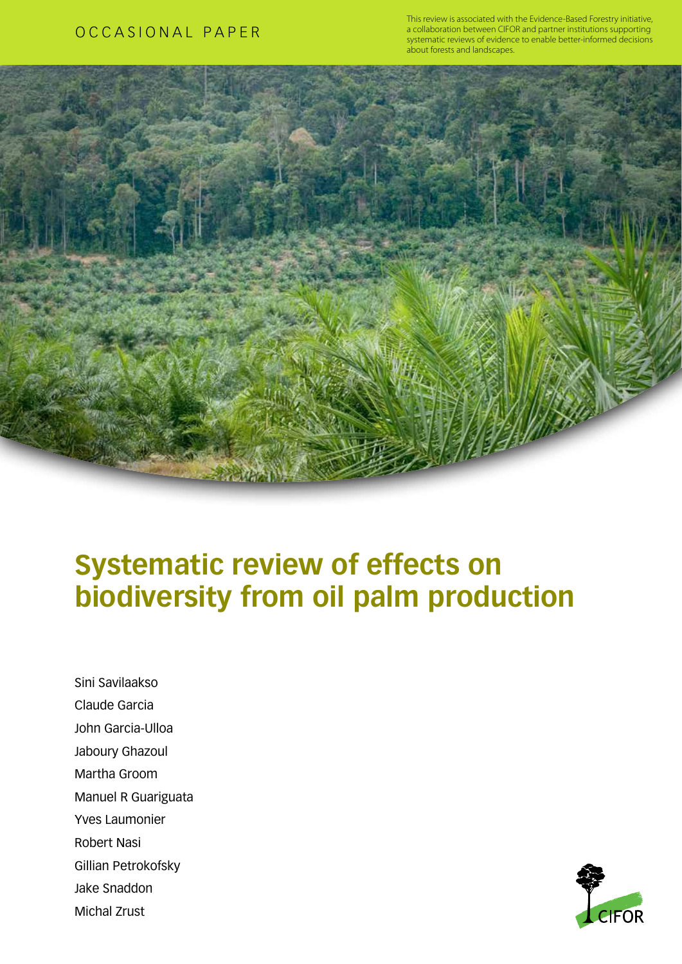# OCCASIONAL PAPER

This review is associated with the Evidence-Based Forestry initiative, a collaboration between CIFOR and partner institutions supporting systematic reviews of evidence to enable better-informed decisions about forests and landscapes.



# **Systematic review of effects on biodiversity from oil palm production**

Sini Savilaakso Claude Garcia John Garcia-Ulloa Jaboury Ghazoul Martha Groom Manuel R Guariguata Yves Laumonier Robert Nasi Gillian Petrokofsky Jake Snaddon Michal Zrust

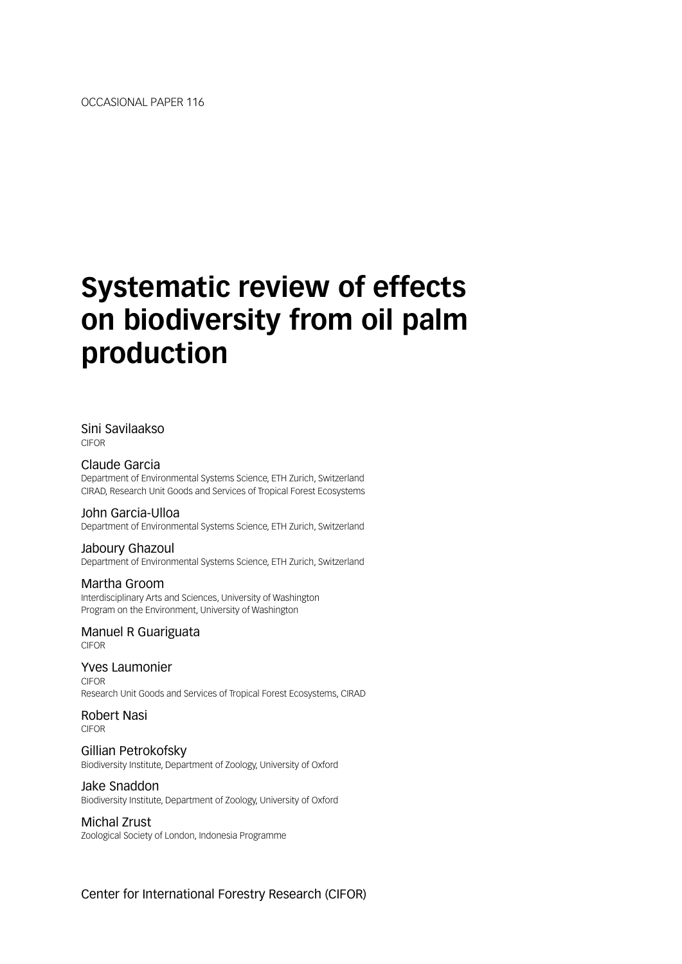# **Systematic review of effects on biodiversity from oil palm production**

#### Sini Savilaakso CIFOR

Claude Garcia Department of Environmental Systems Science, ETH Zurich, Switzerland CIRAD, Research Unit Goods and Services of Tropical Forest Ecosystems

#### John Garcia-Ulloa

Department of Environmental Systems Science, ETH Zurich, Switzerland

#### Jaboury Ghazoul

Department of Environmental Systems Science, ETH Zurich, Switzerland

#### Martha Groom

Interdisciplinary Arts and Sciences, University of Washington Program on the Environment, University of Washington

Manuel R Guariguata CIFOR

Yves Laumonier CIFOR Research Unit Goods and Services of Tropical Forest Ecosystems, CIRAD

Robert Nasi CIFOR

Gillian Petrokofsky Biodiversity Institute, Department of Zoology, University of Oxford

# Jake Snaddon

Biodiversity Institute, Department of Zoology, University of Oxford

#### Michal Zrust

Zoological Society of London, Indonesia Programme

Center for International Forestry Research (CIFOR)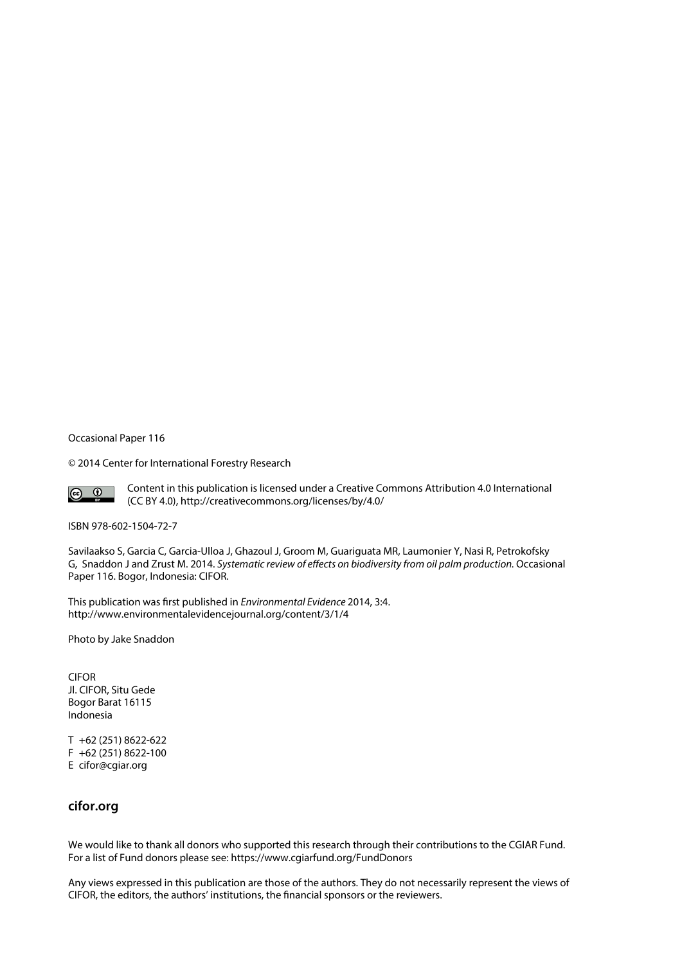Occasional Paper 116

© 2014 Center for International Forestry Research



Content in this publication is licensed under a Creative Commons Attribution 4.0 International (CC BY 4.0), http://creativecommons.org/licenses/by/4.0/

ISBN 978-602-1504-72-7

Savilaakso S, Garcia C, Garcia-Ulloa J, Ghazoul J, Groom M, Guariguata MR, Laumonier Y, Nasi R, Petrokofsky G, Snaddon J and Zrust M. 2014. *Systematic review of effects on biodiversity from oil palm production.* Occasional Paper 116. Bogor, Indonesia: CIFOR.

This publication was first published in *Environmental Evidence* 2014, 3:4. http://www.environmentalevidencejournal.org/content/3/1/4

Photo by Jake Snaddon

CIFOR Jl. CIFOR, Situ Gede Bogor Barat 16115 Indonesia

T +62 (251) 8622-622 F +62 (251) 8622-100 E cifor@cgiar.org

#### **cifor.org**

We would like to thank all donors who supported this research through their contributions to the CGIAR Fund. For a list of Fund donors please see: https://www.cgiarfund.org/FundDonors

Any views expressed in this publication are those of the authors. They do not necessarily represent the views of CIFOR, the editors, the authors' institutions, the financial sponsors or the reviewers.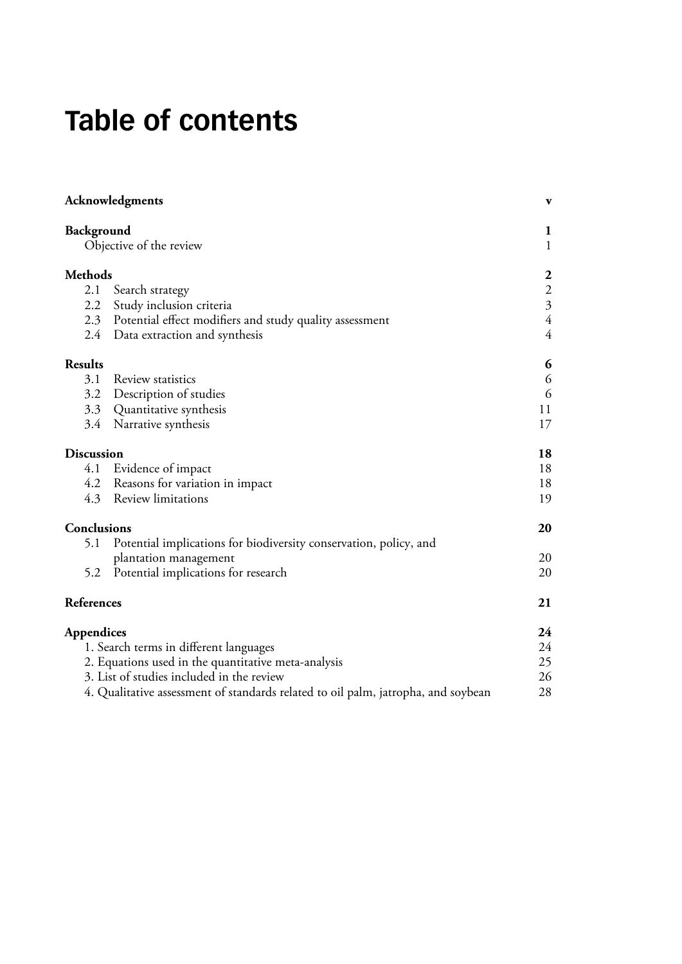# **Table of contents**

|                   | Acknowledgments                                                                   | $\mathbf{v}$            |
|-------------------|-----------------------------------------------------------------------------------|-------------------------|
| Background        | Objective of the review                                                           | 1<br>$\mathbf{1}$       |
| <b>Methods</b>    |                                                                                   | $\boldsymbol{2}$        |
| 2.1               | Search strategy                                                                   | $\overline{c}$          |
| 2.2               | Study inclusion criteria                                                          | $\overline{\mathbf{3}}$ |
|                   | 2.3 Potential effect modifiers and study quality assessment                       | $\overline{4}$          |
|                   | 2.4 Data extraction and synthesis                                                 | $\overline{4}$          |
| <b>Results</b>    |                                                                                   | 6                       |
| 3.1               | Review statistics                                                                 | 6                       |
| 3.2               | Description of studies                                                            | 6                       |
|                   | 3.3 Quantitative synthesis                                                        | 11                      |
|                   | 3.4 Narrative synthesis                                                           | 17                      |
| <b>Discussion</b> |                                                                                   | 18                      |
| 4.1               | Evidence of impact                                                                | 18                      |
|                   | 4.2 Reasons for variation in impact                                               | 18                      |
|                   | 4.3 Review limitations                                                            | 19                      |
| Conclusions       |                                                                                   | 20                      |
| 5.1               | Potential implications for biodiversity conservation, policy, and                 |                         |
|                   | plantation management                                                             | 20                      |
| 5.2               | Potential implications for research                                               | 20                      |
| References        |                                                                                   | 21                      |
| <b>Appendices</b> |                                                                                   | 24                      |
|                   | 1. Search terms in different languages                                            | 24                      |
|                   | 2. Equations used in the quantitative meta-analysis                               | 25                      |
|                   | 3. List of studies included in the review                                         | 26                      |
|                   | 4. Qualitative assessment of standards related to oil palm, jatropha, and soybean | 28                      |
|                   |                                                                                   |                         |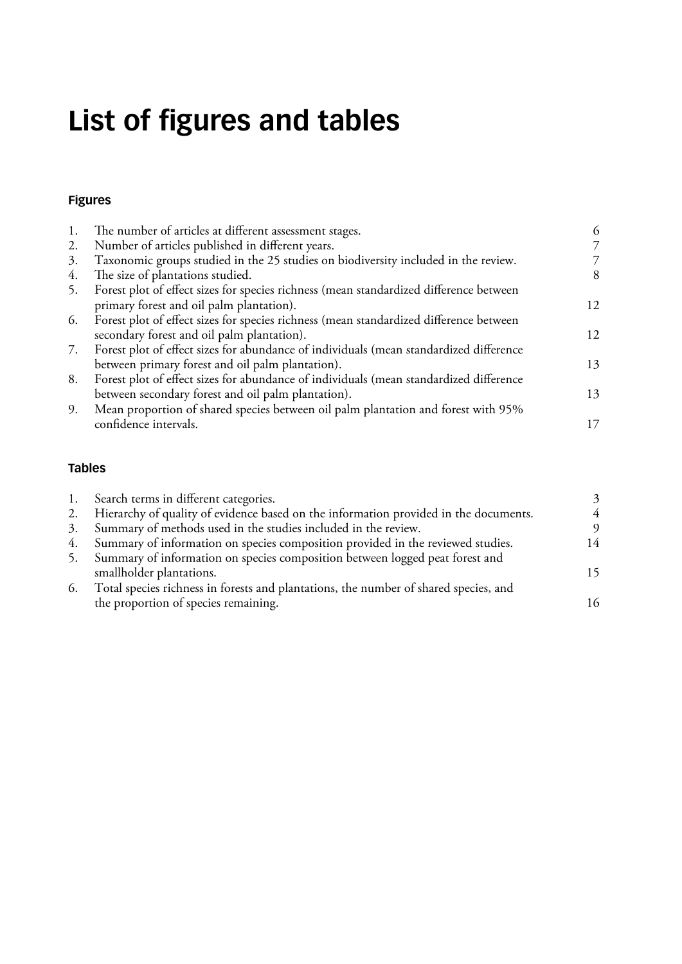# **List of figures and tables**

## **[Figures](#page-12-0)**

|    | The number of articles at different assessment stages.                                 | 6  |
|----|----------------------------------------------------------------------------------------|----|
| 2. | Number of articles published in different years.                                       |    |
| 3. | Taxonomic groups studied in the 25 studies on biodiversity included in the review.     |    |
| 4. | The size of plantations studied.                                                       | 8  |
| 5. | Forest plot of effect sizes for species richness (mean standardized difference between |    |
|    | primary forest and oil palm plantation).                                               | 12 |
| 6. | Forest plot of effect sizes for species richness (mean standardized difference between |    |
|    | secondary forest and oil palm plantation).                                             | 12 |
| 7. | Forest plot of effect sizes for abundance of individuals (mean standardized difference |    |
|    | between primary forest and oil palm plantation).                                       | 13 |
| 8. | Forest plot of effect sizes for abundance of individuals (mean standardized difference |    |
|    | between secondary forest and oil palm plantation).                                     | 13 |
| 9. | Mean proportion of shared species between oil palm plantation and forest with 95%      |    |
|    | confidence intervals.                                                                  | 17 |

#### **[Tables](#page-9-0)**

|                                      | 3                                                                                                                                                                                                                                                                                                                                                                                                                                                                   |
|--------------------------------------|---------------------------------------------------------------------------------------------------------------------------------------------------------------------------------------------------------------------------------------------------------------------------------------------------------------------------------------------------------------------------------------------------------------------------------------------------------------------|
|                                      | 4                                                                                                                                                                                                                                                                                                                                                                                                                                                                   |
|                                      | 9                                                                                                                                                                                                                                                                                                                                                                                                                                                                   |
|                                      | 14                                                                                                                                                                                                                                                                                                                                                                                                                                                                  |
|                                      |                                                                                                                                                                                                                                                                                                                                                                                                                                                                     |
| smallholder plantations.             | 15                                                                                                                                                                                                                                                                                                                                                                                                                                                                  |
|                                      |                                                                                                                                                                                                                                                                                                                                                                                                                                                                     |
| the proportion of species remaining. | 16                                                                                                                                                                                                                                                                                                                                                                                                                                                                  |
|                                      | Search terms in different categories.<br>2. Hierarchy of quality of evidence based on the information provided in the documents.<br>3. Summary of methods used in the studies included in the review.<br>4. Summary of information on species composition provided in the reviewed studies.<br>Summary of information on species composition between logged peat forest and<br>Total species richness in forests and plantations, the number of shared species, and |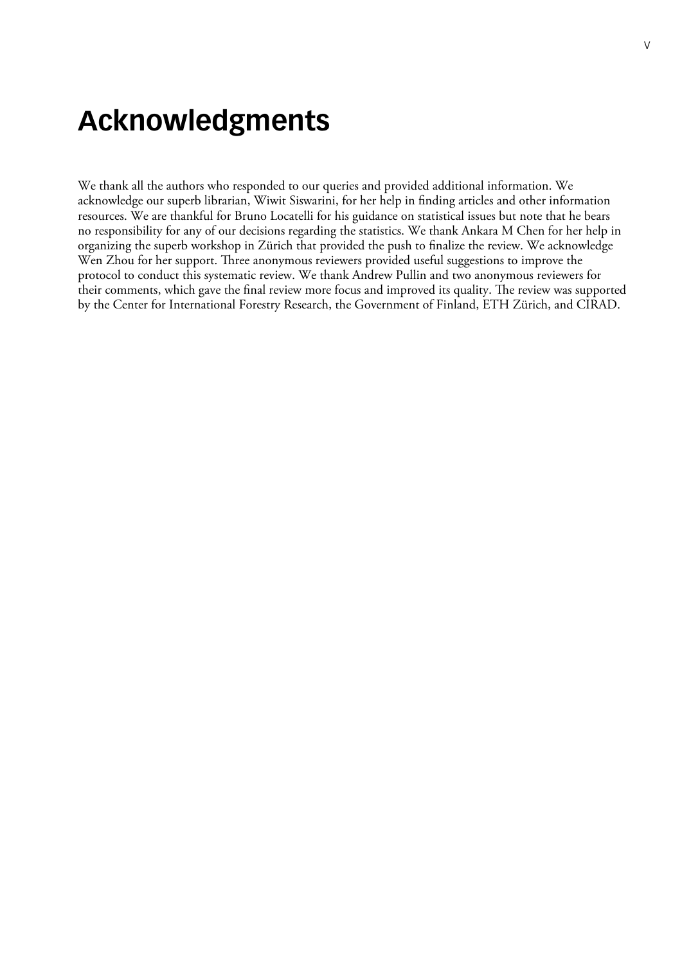# <span id="page-5-0"></span>**Acknowledgments**

We thank all the authors who responded to our queries and provided additional information. We acknowledge our superb librarian, Wiwit Siswarini, for her help in finding articles and other information resources. We are thankful for Bruno Locatelli for his guidance on statistical issues but note that he bears no responsibility for any of our decisions regarding the statistics. We thank Ankara M Chen for her help in organizing the superb workshop in Zürich that provided the push to finalize the review. We acknowledge Wen Zhou for her support. Three anonymous reviewers provided useful suggestions to improve the protocol to conduct this systematic review. We thank Andrew Pullin and two anonymous reviewers for their comments, which gave the final review more focus and improved its quality. The review was supported by the Center for International Forestry Research, the Government of Finland, ETH Zürich, and CIRAD.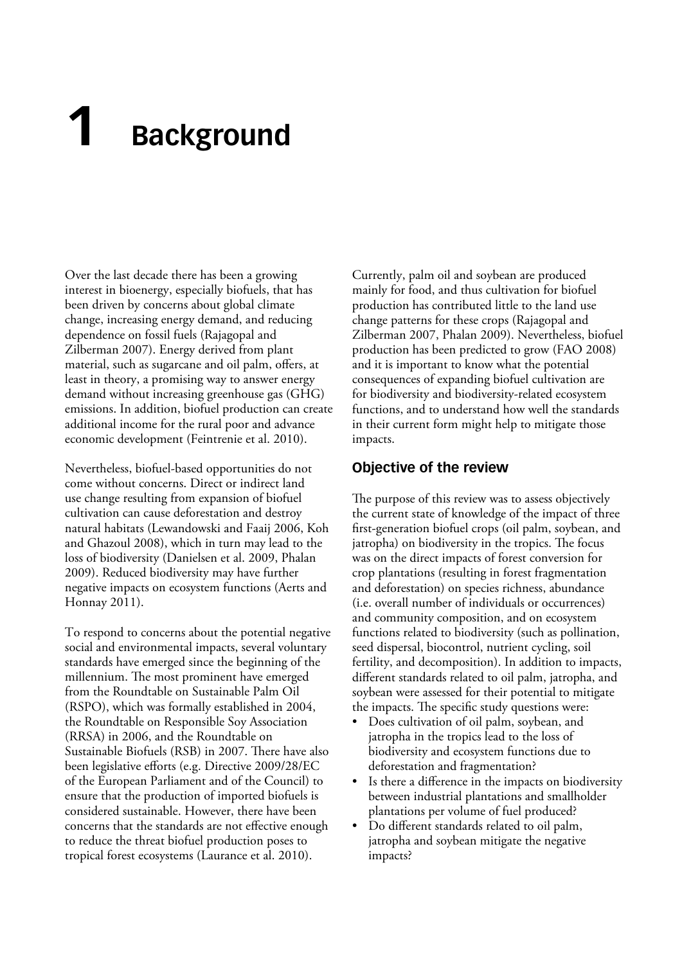# <span id="page-7-0"></span>**1 Background**

Over the last decade there has been a growing interest in bioenergy, especially biofuels, that has been driven by concerns about global climate change, increasing energy demand, and reducing dependence on fossil fuels (Rajagopal and Zilberman 2007). Energy derived from plant material, such as sugarcane and oil palm, offers, at least in theory, a promising way to answer energy demand without increasing greenhouse gas (GHG) emissions. In addition, biofuel production can create additional income for the rural poor and advance economic development (Feintrenie et al. 2010).

Nevertheless, biofuel-based opportunities do not come without concerns. Direct or indirect land use change resulting from expansion of biofuel cultivation can cause deforestation and destroy natural habitats (Lewandowski and Faaij 2006, Koh and Ghazoul 2008), which in turn may lead to the loss of biodiversity (Danielsen et al. 2009, Phalan 2009). Reduced biodiversity may have further negative impacts on ecosystem functions (Aerts and Honnay 2011).

To respond to concerns about the potential negative social and environmental impacts, several voluntary standards have emerged since the beginning of the millennium. The most prominent have emerged from the Roundtable on Sustainable Palm Oil (RSPO), which was formally established in 2004, the Roundtable on Responsible Soy Association (RRSA) in 2006, and the Roundtable on Sustainable Biofuels (RSB) in 2007. There have also been legislative efforts (e.g. Directive 2009/28/EC of the European Parliament and of the Council) to ensure that the production of imported biofuels is considered sustainable. However, there have been concerns that the standards are not effective enough to reduce the threat biofuel production poses to tropical forest ecosystems (Laurance et al. 2010).

Currently, palm oil and soybean are produced mainly for food, and thus cultivation for biofuel production has contributed little to the land use change patterns for these crops (Rajagopal and Zilberman 2007, Phalan 2009). Nevertheless, biofuel production has been predicted to grow (FAO 2008) and it is important to know what the potential consequences of expanding biofuel cultivation are for biodiversity and biodiversity-related ecosystem functions, and to understand how well the standards in their current form might help to mitigate those impacts.

#### **Objective of the review**

The purpose of this review was to assess objectively the current state of knowledge of the impact of three first-generation biofuel crops (oil palm, soybean, and jatropha) on biodiversity in the tropics. The focus was on the direct impacts of forest conversion for crop plantations (resulting in forest fragmentation and deforestation) on species richness, abundance (i.e. overall number of individuals or occurrences) and community composition, and on ecosystem functions related to biodiversity (such as pollination, seed dispersal, biocontrol, nutrient cycling, soil fertility, and decomposition). In addition to impacts, different standards related to oil palm, jatropha, and soybean were assessed for their potential to mitigate the impacts. The specific study questions were:

- Does cultivation of oil palm, soybean, and jatropha in the tropics lead to the loss of biodiversity and ecosystem functions due to deforestation and fragmentation?
- Is there a difference in the impacts on biodiversity between industrial plantations and smallholder plantations per volume of fuel produced?
- Do different standards related to oil palm, jatropha and soybean mitigate the negative impacts?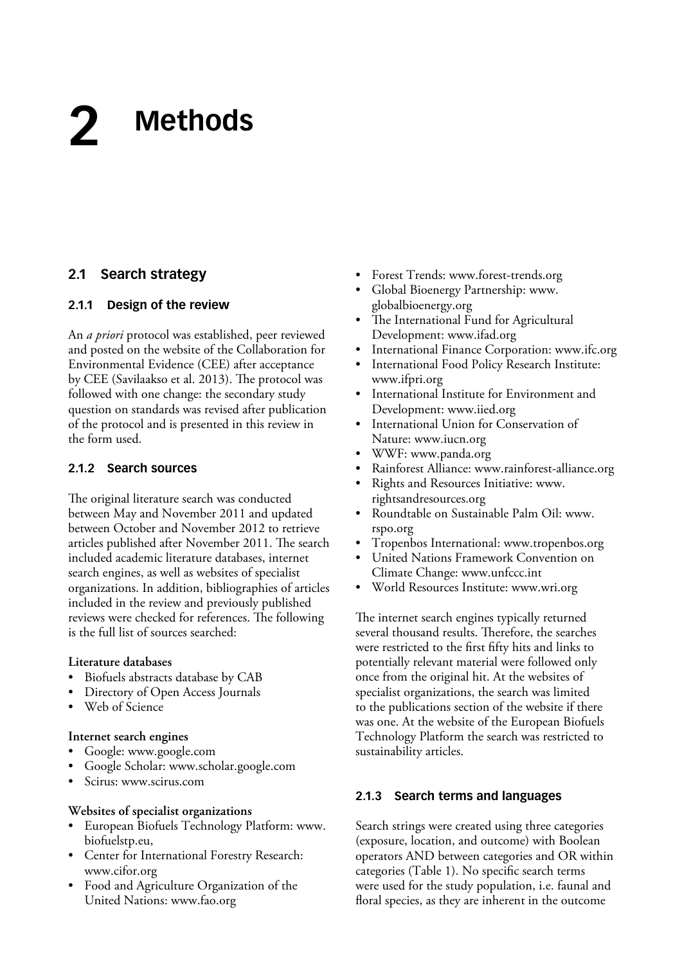# <span id="page-8-0"></span>**Methods 2**

## **2.1 Search strategy**

#### **2.1.1 Design of the review**

An *a priori* protocol was established, peer reviewed and posted on the website of the Collaboration for Environmental Evidence (CEE) after acceptance by CEE (Savilaakso et al. 2013). The protocol was followed with one change: the secondary study question on standards was revised after publication of the protocol and is presented in this review in the form used.

#### **2.1.2 Search sources**

The original literature search was conducted between May and November 2011 and updated between October and November 2012 to retrieve articles published after November 2011. The search included academic literature databases, internet search engines, as well as websites of specialist organizations. In addition, bibliographies of articles included in the review and previously published reviews were checked for references. The following is the full list of sources searched:

#### **Literature databases**

- Biofuels abstracts database by CAB
- Directory of Open Access Journals
- Web of Science

#### **Internet search engines**

- Google: www.google.com
- Google Scholar: www.scholar.google.com
- Scirus: www.scirus.com

#### **Websites of specialist organizations**

- European Biofuels Technology Platform: www. biofuelstp.eu,
- Center for International Forestry Research: www.cifor.org
- Food and Agriculture Organization of the United Nations: www.fao.org
- Forest Trends: www.forest-trends.org
- Global Bioenergy Partnership: www. globalbioenergy.org
- The International Fund for Agricultural Development: www.ifad.org
- International Finance Corporation: www.ifc.org
- International Food Policy Research Institute: www.ifpri.org
- International Institute for Environment and Development: www.iied.org
- International Union for Conservation of Nature: www.iucn.org
- WWF: www.panda.org
- Rainforest Alliance: www.rainforest-alliance.org
- Rights and Resources Initiative: www. rightsandresources.org
- Roundtable on Sustainable Palm Oil: www. rspo.org
- Tropenbos International: www.tropenbos.org
- United Nations Framework Convention on Climate Change: www.unfccc.int
- World Resources Institute: www.wri.org

The internet search engines typically returned several thousand results. Therefore, the searches were restricted to the first fifty hits and links to potentially relevant material were followed only once from the original hit. At the websites of specialist organizations, the search was limited to the publications section of the website if there was one. At the website of the European Biofuels Technology Platform the search was restricted to sustainability articles.

#### **2.1.3 Search terms and languages**

Search strings were created using three categories (exposure, location, and outcome) with Boolean operators AND between categories and OR within categories (Table 1). No specific search terms were used for the study population, i.e. faunal and floral species, as they are inherent in the outcome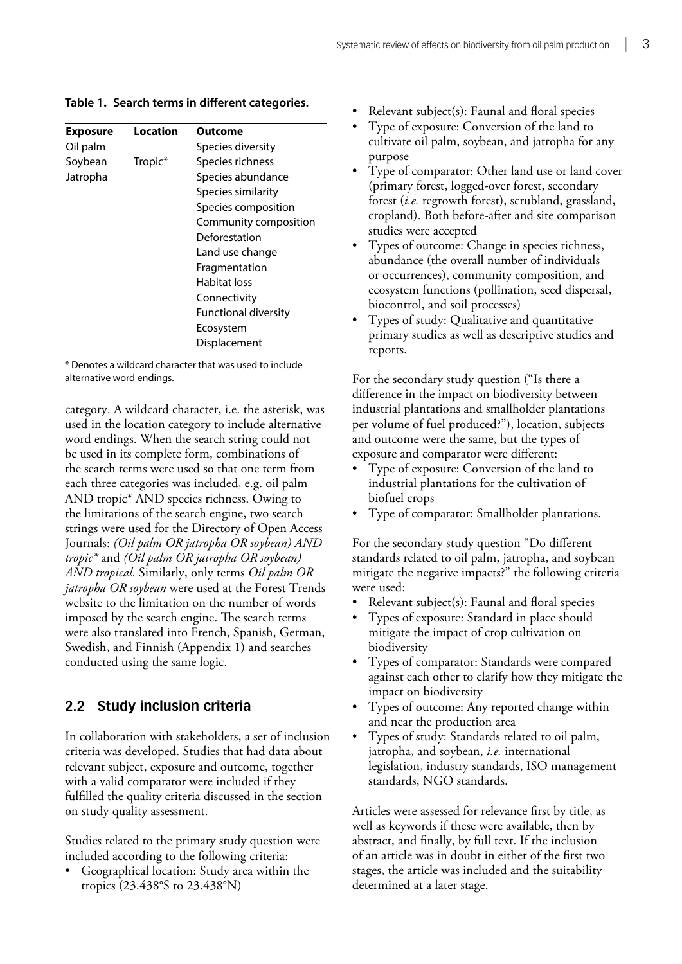| <b>Exposure</b> | <b>Location</b> | Outcome                     |
|-----------------|-----------------|-----------------------------|
| Oil palm        |                 | Species diversity           |
| Soybean         | Tropic*         | Species richness            |
| Jatropha        |                 | Species abundance           |
|                 |                 | Species similarity          |
|                 |                 | Species composition         |
|                 |                 | Community composition       |
|                 |                 | Deforestation               |
|                 |                 | Land use change             |
|                 |                 | Fragmentation               |
|                 |                 | Habitat loss                |
|                 |                 | Connectivity                |
|                 |                 | <b>Functional diversity</b> |
|                 |                 | Ecosystem                   |
|                 |                 | Displacement                |

<span id="page-9-0"></span>**Table 1. Search terms in different categories.**

\* Denotes a wildcard character that was used to include alternative word endings.

category. A wildcard character, i.e. the asterisk, was used in the location category to include alternative word endings. When the search string could not be used in its complete form, combinations of the search terms were used so that one term from each three categories was included, e.g. oil palm AND tropic\* AND species richness. Owing to the limitations of the search engine, two search strings were used for the Directory of Open Access Journals: *(Oil palm OR jatropha OR soybean) AND tropic\** and *(Oil palm OR jatropha OR soybean) AND tropical*. Similarly, only terms *Oil palm OR jatropha OR soybean* were used at the Forest Trends website to the limitation on the number of words imposed by the search engine. The search terms were also translated into French, Spanish, German, Swedish, and Finnish (Appendix 1) and searches conducted using the same logic.

## **2.2 Study inclusion criteria**

In collaboration with stakeholders, a set of inclusion criteria was developed. Studies that had data about relevant subject, exposure and outcome, together with a valid comparator were included if they fulfilled the quality criteria discussed in the section on study quality assessment.

Studies related to the primary study question were included according to the following criteria:

Geographical location: Study area within the tropics (23.438°S to 23.438°N)

- Relevant subject(s): Faunal and floral species
- Type of exposure: Conversion of the land to cultivate oil palm, soybean, and jatropha for any purpose
- Type of comparator: Other land use or land cover (primary forest, logged-over forest, secondary forest (*i.e.* regrowth forest), scrubland, grassland, cropland). Both before-after and site comparison studies were accepted
- Types of outcome: Change in species richness, abundance (the overall number of individuals or occurrences), community composition, and ecosystem functions (pollination, seed dispersal, biocontrol, and soil processes)
- Types of study: Qualitative and quantitative primary studies as well as descriptive studies and reports.

For the secondary study question ("Is there a difference in the impact on biodiversity between industrial plantations and smallholder plantations per volume of fuel produced?"), location, subjects and outcome were the same, but the types of exposure and comparator were different:

- Type of exposure: Conversion of the land to industrial plantations for the cultivation of biofuel crops
- Type of comparator: Smallholder plantations.

For the secondary study question "Do different standards related to oil palm, jatropha, and soybean mitigate the negative impacts?" the following criteria were used:

- Relevant subject(s): Faunal and floral species
- Types of exposure: Standard in place should mitigate the impact of crop cultivation on biodiversity
- Types of comparator: Standards were compared against each other to clarify how they mitigate the impact on biodiversity
- Types of outcome: Any reported change within and near the production area
- Types of study: Standards related to oil palm, jatropha, and soybean, *i.e.* international legislation, industry standards, ISO management standards, NGO standards.

Articles were assessed for relevance first by title, as well as keywords if these were available, then by abstract, and finally, by full text. If the inclusion of an article was in doubt in either of the first two stages, the article was included and the suitability determined at a later stage.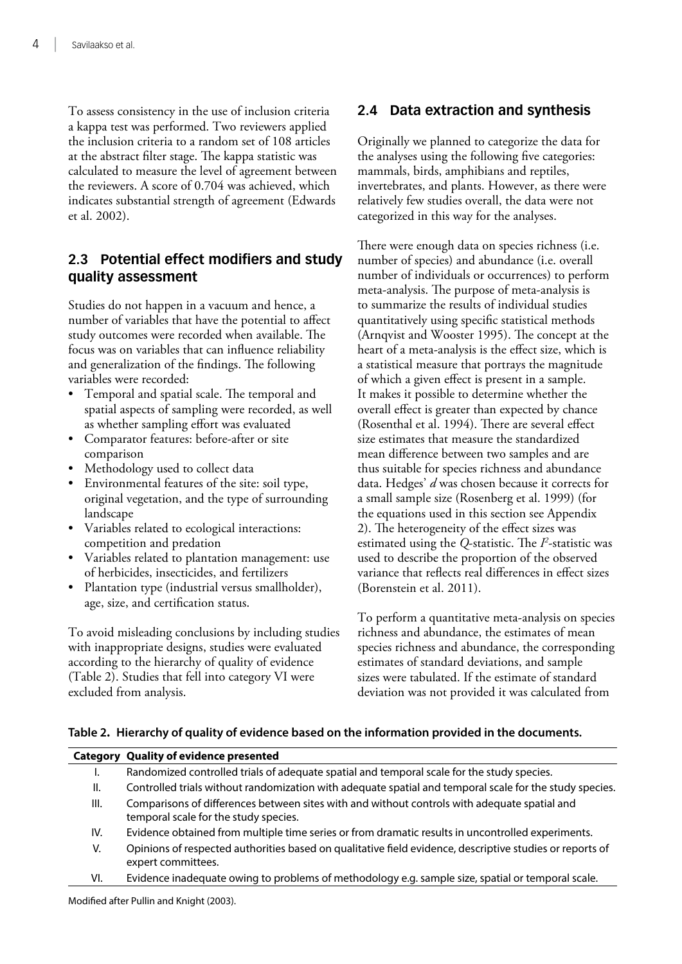<span id="page-10-0"></span>To assess consistency in the use of inclusion criteria a kappa test was performed. Two reviewers applied the inclusion criteria to a random set of 108 articles at the abstract filter stage. The kappa statistic was calculated to measure the level of agreement between the reviewers. A score of 0.704 was achieved, which indicates substantial strength of agreement (Edwards et al. 2002).

## **2.3 Potential effect modifiers and study quality assessment**

Studies do not happen in a vacuum and hence, a number of variables that have the potential to affect study outcomes were recorded when available. The focus was on variables that can influence reliability and generalization of the findings. The following variables were recorded:

- Temporal and spatial scale. The temporal and spatial aspects of sampling were recorded, as well as whether sampling effort was evaluated
- Comparator features: before-after or site comparison
- Methodology used to collect data
- Environmental features of the site: soil type, original vegetation, and the type of surrounding landscape
- Variables related to ecological interactions: competition and predation
- Variables related to plantation management: use of herbicides, insecticides, and fertilizers
- Plantation type (industrial versus smallholder), age, size, and certification status.

To avoid misleading conclusions by including studies with inappropriate designs, studies were evaluated according to the hierarchy of quality of evidence (Table 2). Studies that fell into category VI were excluded from analysis.

# **2.4 Data extraction and synthesis**

Originally we planned to categorize the data for the analyses using the following five categories: mammals, birds, amphibians and reptiles, invertebrates, and plants. However, as there were relatively few studies overall, the data were not categorized in this way for the analyses.

There were enough data on species richness (i.e. number of species) and abundance (i.e. overall number of individuals or occurrences) to perform meta-analysis. The purpose of meta-analysis is to summarize the results of individual studies quantitatively using specific statistical methods (Arnqvist and Wooster 1995). The concept at the heart of a meta-analysis is the effect size, which is a statistical measure that portrays the magnitude of which a given effect is present in a sample. It makes it possible to determine whether the overall effect is greater than expected by chance (Rosenthal et al. 1994). There are several effect size estimates that measure the standardized mean difference between two samples and are thus suitable for species richness and abundance data. Hedges' *d* was chosen because it corrects for a small sample size (Rosenberg et al. 1999) (for the equations used in this section see Appendix 2). The heterogeneity of the effect sizes was estimated using the *Q*-statistic. The *P*-statistic was used to describe the proportion of the observed variance that reflects real differences in effect sizes (Borenstein et al. 2011).

To perform a quantitative meta-analysis on species richness and abundance, the estimates of mean species richness and abundance, the corresponding estimates of standard deviations, and sample sizes were tabulated. If the estimate of standard deviation was not provided it was calculated from

#### **Table 2. Hierarchy of quality of evidence based on the information provided in the documents.**

|      | <b>Category Quality of evidence presented</b>                                                                                         |
|------|---------------------------------------------------------------------------------------------------------------------------------------|
| ۱.   | Randomized controlled trials of adequate spatial and temporal scale for the study species.                                            |
| II.  | Controlled trials without randomization with adequate spatial and temporal scale for the study species.                               |
| III. | Comparisons of differences between sites with and without controls with adequate spatial and<br>temporal scale for the study species. |
| IV.  | Evidence obtained from multiple time series or from dramatic results in uncontrolled experiments.                                     |
| V.   | Opinions of respected authorities based on qualitative field evidence, descriptive studies or reports of<br>expert committees.        |
| VI.  | Evidence inadequate owing to problems of methodology e.g. sample size, spatial or temporal scale.                                     |

Modified after Pullin and Knight (2003).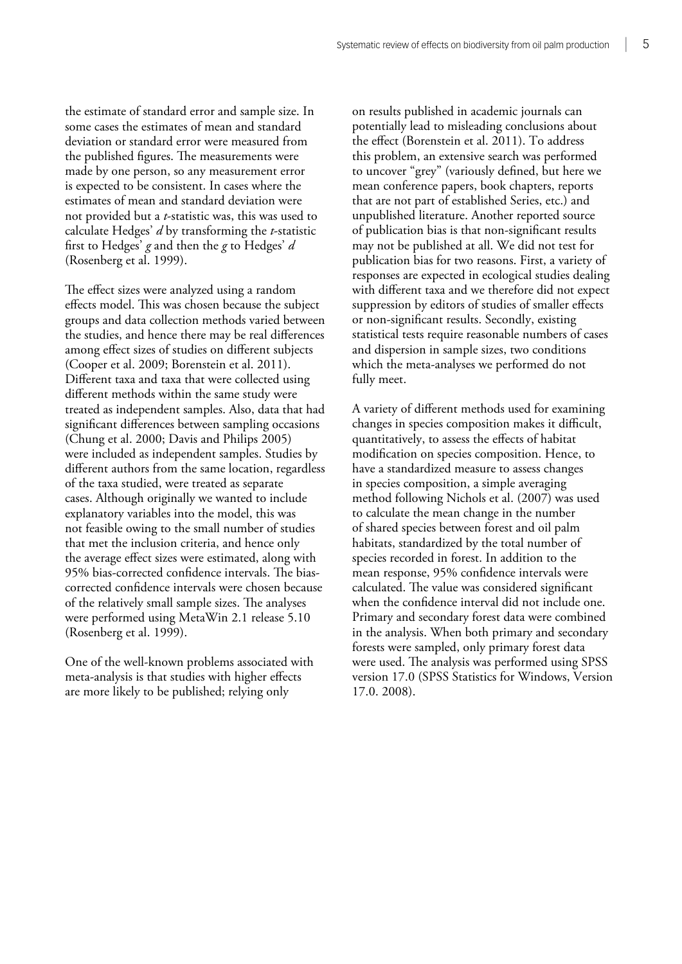the estimate of standard error and sample size. In some cases the estimates of mean and standard deviation or standard error were measured from the published figures. The measurements were made by one person, so any measurement error is expected to be consistent. In cases where the estimates of mean and standard deviation were not provided but a *t*-statistic was, this was used to calculate Hedges' *d* by transforming the *t*-statistic first to Hedges' *g* and then the *g* to Hedges' *d* (Rosenberg et al. 1999).

The effect sizes were analyzed using a random effects model. This was chosen because the subject groups and data collection methods varied between the studies, and hence there may be real differences among effect sizes of studies on different subjects (Cooper et al. 2009; Borenstein et al. 2011). Different taxa and taxa that were collected using different methods within the same study were treated as independent samples. Also, data that had significant differences between sampling occasions (Chung et al. 2000; Davis and Philips 2005) were included as independent samples. Studies by different authors from the same location, regardless of the taxa studied, were treated as separate cases. Although originally we wanted to include explanatory variables into the model, this was not feasible owing to the small number of studies that met the inclusion criteria, and hence only the average effect sizes were estimated, along with 95% bias-corrected confidence intervals. The biascorrected confidence intervals were chosen because of the relatively small sample sizes. The analyses were performed using MetaWin 2.1 release 5.10 (Rosenberg et al. 1999).

One of the well-known problems associated with meta-analysis is that studies with higher effects are more likely to be published; relying only

on results published in academic journals can potentially lead to misleading conclusions about the effect (Borenstein et al. 2011). To address this problem, an extensive search was performed to uncover "grey" (variously defined, but here we mean conference papers, book chapters, reports that are not part of established Series, etc.) and unpublished literature. Another reported source of publication bias is that non-significant results may not be published at all. We did not test for publication bias for two reasons. First, a variety of responses are expected in ecological studies dealing with different taxa and we therefore did not expect suppression by editors of studies of smaller effects or non-significant results. Secondly, existing statistical tests require reasonable numbers of cases and dispersion in sample sizes, two conditions which the meta-analyses we performed do not fully meet.

A variety of different methods used for examining changes in species composition makes it difficult, quantitatively, to assess the effects of habitat modification on species composition. Hence, to have a standardized measure to assess changes in species composition, a simple averaging method following Nichols et al. (2007) was used to calculate the mean change in the number of shared species between forest and oil palm habitats, standardized by the total number of species recorded in forest. In addition to the mean response, 95% confidence intervals were calculated. The value was considered significant when the confidence interval did not include one. Primary and secondary forest data were combined in the analysis. When both primary and secondary forests were sampled, only primary forest data were used. The analysis was performed using SPSS version 17.0 (SPSS Statistics for Windows, Version 17.0. 2008).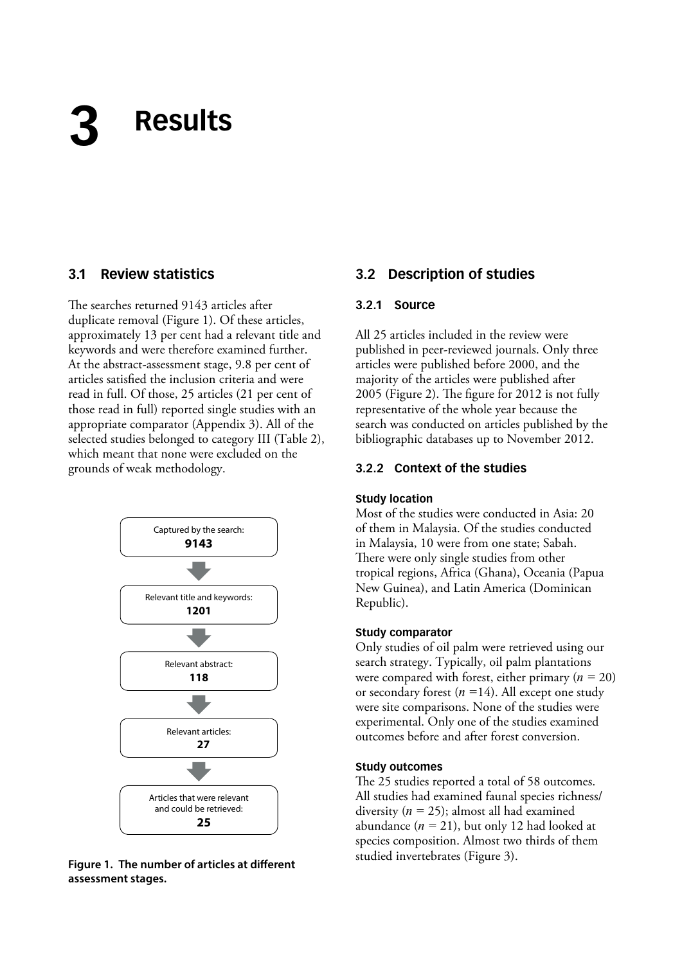# <span id="page-12-0"></span>**3 Results**

#### **3.1 Review statistics**

The searches returned 9143 articles after duplicate removal (Figure 1). Of these articles, approximately 13 per cent had a relevant title and keywords and were therefore examined further. At the abstract-assessment stage, 9.8 per cent of articles satisfied the inclusion criteria and were read in full. Of those, 25 articles (21 per cent of those read in full) reported single studies with an appropriate comparator (Appendix 3). All of the selected studies belonged to category III (Table 2), which meant that none were excluded on the grounds of weak methodology.



**Figure 1. The number of articles at different assessment stages.**

#### **3.2 Description of studies**

#### **3.2.1 Source**

All 25 articles included in the review were published in peer-reviewed journals. Only three articles were published before 2000, and the majority of the articles were published after 2005 (Figure 2). The figure for 2012 is not fully representative of the whole year because the search was conducted on articles published by the bibliographic databases up to November 2012.

#### **3.2.2 Context of the studies**

#### **Study location**

Most of the studies were conducted in Asia: 20 of them in Malaysia. Of the studies conducted in Malaysia, 10 were from one state; Sabah. There were only single studies from other tropical regions, Africa (Ghana), Oceania (Papua New Guinea), and Latin America (Dominican Republic).

#### **Study comparator**

Only studies of oil palm were retrieved using our search strategy. Typically, oil palm plantations were compared with forest, either primary (*n =* 20) or secondary forest (*n =*14). All except one study were site comparisons. None of the studies were experimental. Only one of the studies examined outcomes before and after forest conversion.

#### **Study outcomes**

The 25 studies reported a total of 58 outcomes. All studies had examined faunal species richness/ diversity (*n =* 25); almost all had examined abundance (*n =* 21), but only 12 had looked at species composition. Almost two thirds of them studied invertebrates (Figure 3).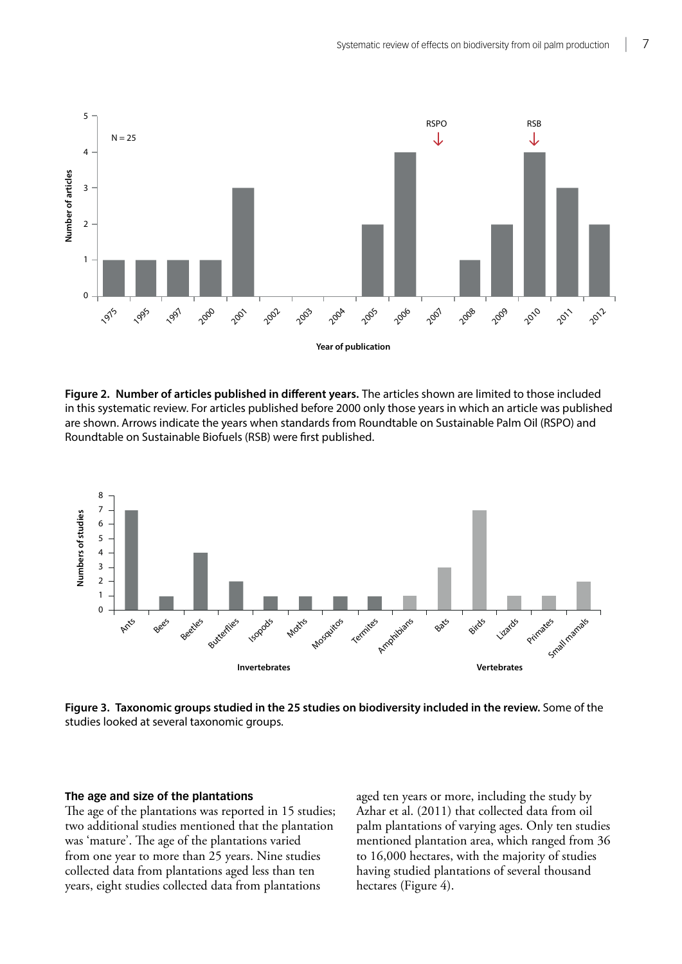<span id="page-13-0"></span>

**Figure 2. Number of articles published in different years.** The articles shown are limited to those included in this systematic review. For articles published before 2000 only those years in which an article was published are shown. Arrows indicate the years when standards from Roundtable on Sustainable Palm Oil (RSPO) and Roundtable on Sustainable Biofuels (RSB) were first published.



**Figure 3. Taxonomic groups studied in the 25 studies on biodiversity included in the review.** Some of the studies looked at several taxonomic groups.

#### **The age and size of the plantations**

The age of the plantations was reported in 15 studies; two additional studies mentioned that the plantation was 'mature'. The age of the plantations varied from one year to more than 25 years. Nine studies collected data from plantations aged less than ten years, eight studies collected data from plantations

aged ten years or more, including the study by Azhar et al. (2011) that collected data from oil palm plantations of varying ages. Only ten studies mentioned plantation area, which ranged from 36 to 16,000 hectares, with the majority of studies having studied plantations of several thousand hectares (Figure 4).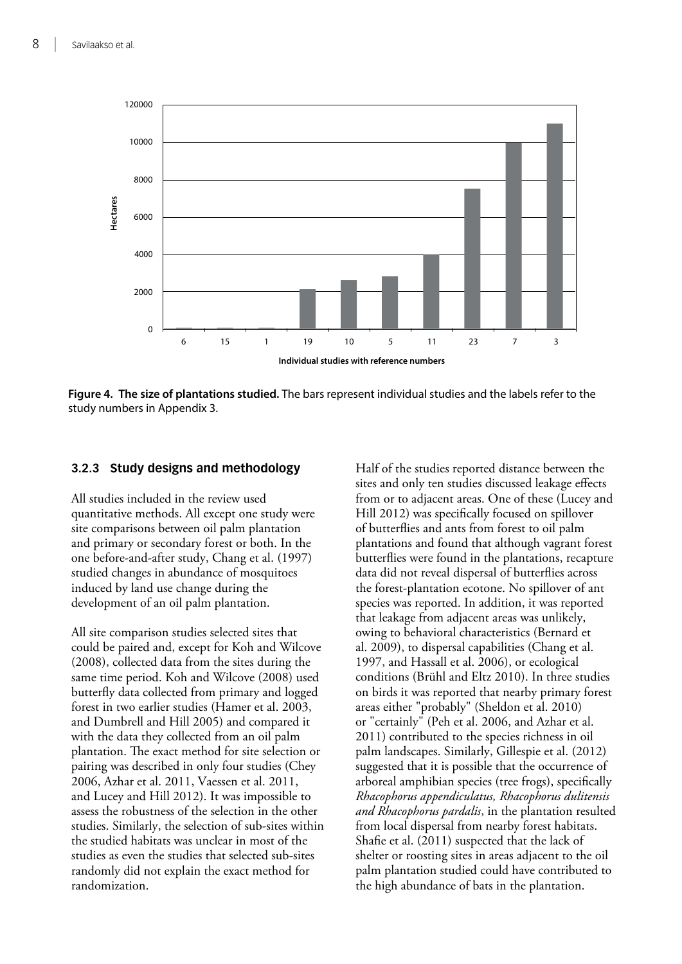<span id="page-14-0"></span>

**Figure 4. The size of plantations studied.** The bars represent individual studies and the labels refer to the study numbers in Appendix 3.

#### **3.2.3 Study designs and methodology**

All studies included in the review used quantitative methods. All except one study were site comparisons between oil palm plantation and primary or secondary forest or both. In the one before-and-after study, Chang et al. (1997) studied changes in abundance of mosquitoes induced by land use change during the development of an oil palm plantation.

All site comparison studies selected sites that could be paired and, except for Koh and Wilcove (2008), collected data from the sites during the same time period. Koh and Wilcove (2008) used butterfly data collected from primary and logged forest in two earlier studies (Hamer et al. 2003, and Dumbrell and Hill 2005) and compared it with the data they collected from an oil palm plantation. The exact method for site selection or pairing was described in only four studies (Chey 2006, Azhar et al. 2011, Vaessen et al. 2011, and Lucey and Hill 2012). It was impossible to assess the robustness of the selection in the other studies. Similarly, the selection of sub-sites within the studied habitats was unclear in most of the studies as even the studies that selected sub-sites randomly did not explain the exact method for randomization.

Half of the studies reported distance between the sites and only ten studies discussed leakage effects from or to adjacent areas. One of these (Lucey and Hill 2012) was specifically focused on spillover of butterflies and ants from forest to oil palm plantations and found that although vagrant forest butterflies were found in the plantations, recapture data did not reveal dispersal of butterflies across the forest-plantation ecotone. No spillover of ant species was reported. In addition, it was reported that leakage from adjacent areas was unlikely, owing to behavioral characteristics (Bernard et al. 2009), to dispersal capabilities (Chang et al. 1997, and Hassall et al. 2006), or ecological conditions (Brühl and Eltz 2010). In three studies on birds it was reported that nearby primary forest areas either "probably" (Sheldon et al. 2010) or "certainly" (Peh et al. 2006, and Azhar et al. 2011) contributed to the species richness in oil palm landscapes. Similarly, Gillespie et al. (2012) suggested that it is possible that the occurrence of arboreal amphibian species (tree frogs), specifically *Rhacophorus appendiculatus, Rhacophorus dulitensis and Rhacophorus pardalis*, in the plantation resulted from local dispersal from nearby forest habitats. Shafie et al. (2011) suspected that the lack of shelter or roosting sites in areas adjacent to the oil palm plantation studied could have contributed to the high abundance of bats in the plantation.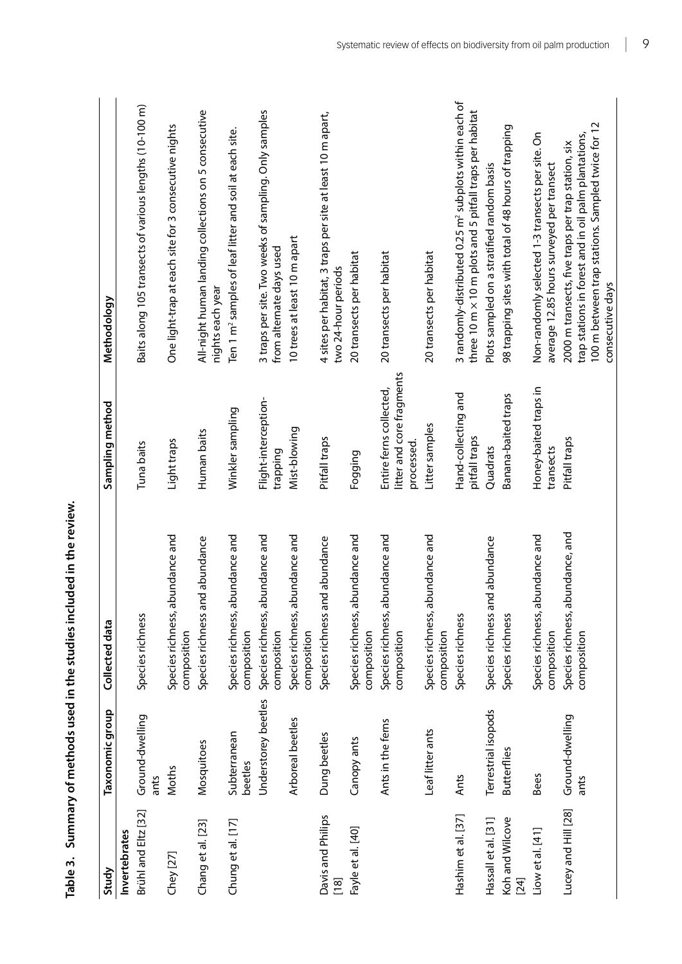<span id="page-15-0"></span>

| Study                       | Taxonomic group         | Collected data                                     | Sampling method                                                    | Methodology                                                                                                                                                                         |
|-----------------------------|-------------------------|----------------------------------------------------|--------------------------------------------------------------------|-------------------------------------------------------------------------------------------------------------------------------------------------------------------------------------|
| Invertebrates               |                         |                                                    |                                                                    |                                                                                                                                                                                     |
| Brühl and Eltz [32]         | Ground-dwelling<br>ants | Species richness                                   | Tuna baits                                                         | Baits along 105 transects of various lengths (10-100 m)                                                                                                                             |
| Chey [27]                   | <b>Moths</b>            | Species richness, abundance and<br>composition     | Light traps                                                        | One light-trap at each site for 3 consecutive nights                                                                                                                                |
| Chang et al. [23]           | Mosquitoes              | Species richness and abundance                     | Human baits                                                        | All-night human landing collections on 5 consecutive<br>nights each year                                                                                                            |
| Chung et al. [17]           | Subterranean<br>beetles | abundance and<br>Species richness,<br>composition  | Winkler sampling                                                   | Ten 1 m <sup>2</sup> samples of leaf litter and soil at each site.                                                                                                                  |
|                             | Understorey beetles     | abundance and<br>Species richness,<br>composition  | Flight-interception-<br>trapping                                   | 3 traps per site. Two weeks of sampling. Only samples<br>from alternate days used                                                                                                   |
|                             | Arboreal beetles        | abundance and<br>Species richness,<br>composition  | Mist-blowing                                                       | 10 trees at least 10 m apart                                                                                                                                                        |
| Davis and Philips<br>$[18]$ | Dung beetles            | Species richness and abundance                     | Pitfall traps                                                      | 4 sites per habitat, 3 traps per site at least 10 m apart,<br>two 24-hour periods                                                                                                   |
| Fayle et al. [40]           | Canopy ants             | Species richness, abundance and<br>composition     | Fogging                                                            | 20 transects per habitat                                                                                                                                                            |
|                             | Ants in the ferns       | abundance and<br>Species richness,<br>composition  | litter and core fragments<br>Entire ferns collected,<br>processed. | 20 transects per habitat                                                                                                                                                            |
|                             | Leaf litter ants        | abundance and<br>Species richness,<br>composition  | Litter samples                                                     | 20 transects per habitat                                                                                                                                                            |
| Hashim et al. [37]          | Ants                    | Species richness                                   | Hand-collecting and<br>pitfall traps                               | 3 randomly-distributed 0.25 m <sup>2</sup> subplots within each of<br>three 10 m x 10 m plots and 5 pitfall traps per habitat                                                       |
| Hassall et al. [31]         | Terrestrial isopods     | Species richness and abundance                     | Quadrats                                                           | Plots sampled on a stratified random basis                                                                                                                                          |
| Koh and Wilcove<br>[24]     | <b>Butterflies</b>      | Species richness                                   | Banana-baited traps                                                | 98 trapping sites with total of 48 hours of trapping                                                                                                                                |
| Liow et al. [41]            | <b>Bees</b>             | Species richness, abundance and<br>composition     | Honey-baited traps in<br>transects                                 | Non-randomly selected 1-3 transects per site. On<br>average 12.85 hours surveyed per transect                                                                                       |
| Lucey and Hill [28]         | Ground-dwelling<br>ants | abundance, and<br>Species richness,<br>composition | Pitfall traps                                                      | 100 m between trap stations. Sampled twice for 12<br>trap stations in forest and in oil palm plantations,<br>2000 m transects, five traps per trap station, six<br>consecutive days |

Table 3. Summary of methods used in the studies included in the review. **Table 3. Summary of methods used in the studies included in the review.**

|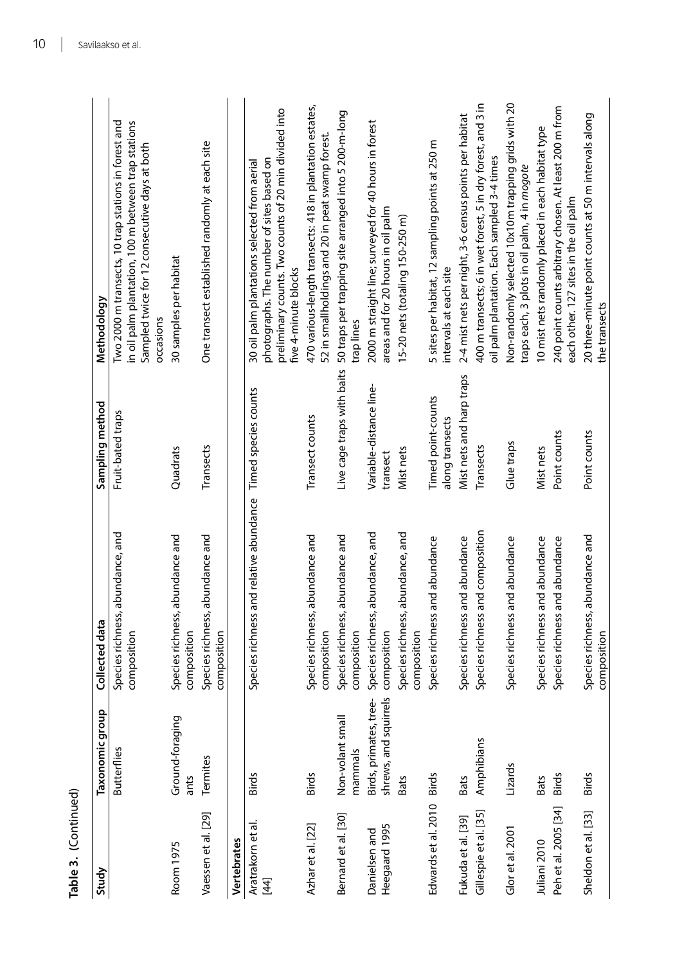| Study                          | Taxonomic group                                 | Collected data                                               | Sampling method                       | Methodology                                                                                                                                                                |
|--------------------------------|-------------------------------------------------|--------------------------------------------------------------|---------------------------------------|----------------------------------------------------------------------------------------------------------------------------------------------------------------------------|
|                                | <b>Butterflies</b>                              | bundance, and<br>Species richness, a<br>composition          | Fruit-bated traps                     | in oil palm plantation, 100 m between trap stations<br>Two 2000 m transects, 10 trap stations in forest and<br>Sampled twice for 12 consecutive days at both<br>occasions  |
| Room 1975                      | Ground-foraging<br>ants                         | Species richness, abundance and<br>composition               | Quadrats                              | 30 samples per habitat                                                                                                                                                     |
| Vaessen et al. [29]            | Termites                                        | Species richness, abundance and<br>composition               | Transects                             | One transect established randomly at each site                                                                                                                             |
| Vertebrates                    |                                                 |                                                              |                                       |                                                                                                                                                                            |
| Aratrakorn et al.<br>$[44]$    | <b>Birds</b>                                    | Species richness and relative abundance Timed species counts |                                       | preliminary counts. Two counts of 20 min divided into<br>photographs. The number of sites based on<br>30 oil palm plantations selected from aerial<br>five 4-minute blocks |
| Azhar et al. [22]              | <b>Birds</b>                                    | bundance and<br>Species richness, a<br>composition           | Transect counts                       | 470 various-length transects: 418 in plantation estates,<br>52 in smallholdings and 20 in peat swamp forest                                                                |
| Bernard et al. [30]            | Non-volant small<br>mammals                     | Species richness, abundance and<br>composition               | Live cage traps with baits            | 50 traps per trapping site arranged into 5 200-m-long<br>trap lines                                                                                                        |
| Heegaard 1995<br>Danielsen and | shrews, and squirrels<br>Birds, primates, tree- | bundance, and<br>Species richness, a<br>composition          | Variable-distance line-<br>transect   | 2000 m straight line; surveyed for 40 hours in forest<br>areas and for 20 hours in oil palm                                                                                |
|                                | <b>Bats</b>                                     | bundance, and<br>Species richness, a<br>composition          | Mist nets                             | 15-20 nets (totaling 150-250 m)                                                                                                                                            |
| Edwards et al. 2010            | <b>Birds</b>                                    | Species richness and abundance                               | Timed point-counts<br>along transects | 5 sites per habitat, 12 sampling points at 250 m<br>intervals at each site                                                                                                 |
| Fukuda et al. [39]             | <b>Bats</b>                                     | Species richness and abundance                               | Mist nets and harp traps              | 2-4 mist nets per night, 3-6 census points per habitat                                                                                                                     |
| Gillespie et al. [35]          | Amphibians                                      | Species richness and composition                             | Transects                             | 400 m transects; 6 in wet forest, 5 in dry forest, and 3 in<br>oil palm plantation. Each sampled 3-4 times                                                                 |
| Glor et al. 2001               | Lizards                                         | Species richness and abundance                               | Glue traps                            | Non-randomly selected 10x10m trapping grids with 20<br>traps each, 3 plots in oil palm, 4 in mogote                                                                        |
| Juliani 2010                   | <b>Bats</b>                                     | Species richness and abundance                               | Mist nets                             | 10 mist nets randomly placed in each habitat type                                                                                                                          |
| Peh et al. 2005 [34]           | <b>Birds</b>                                    | Species richness and abundance                               | Point counts                          | 240 point counts arbitrary chosen. At least 200 m from<br>each other. 127 sites in the oil palm                                                                            |
| Sheldon et al. [33]            | <b>Birds</b>                                    | Species richness, abundance and<br>composition               | Point counts                          | 20 three-minute point counts at 50 m intervals along<br>the transects                                                                                                      |

**Table 3. (**Continued)

Table 3. (Continued)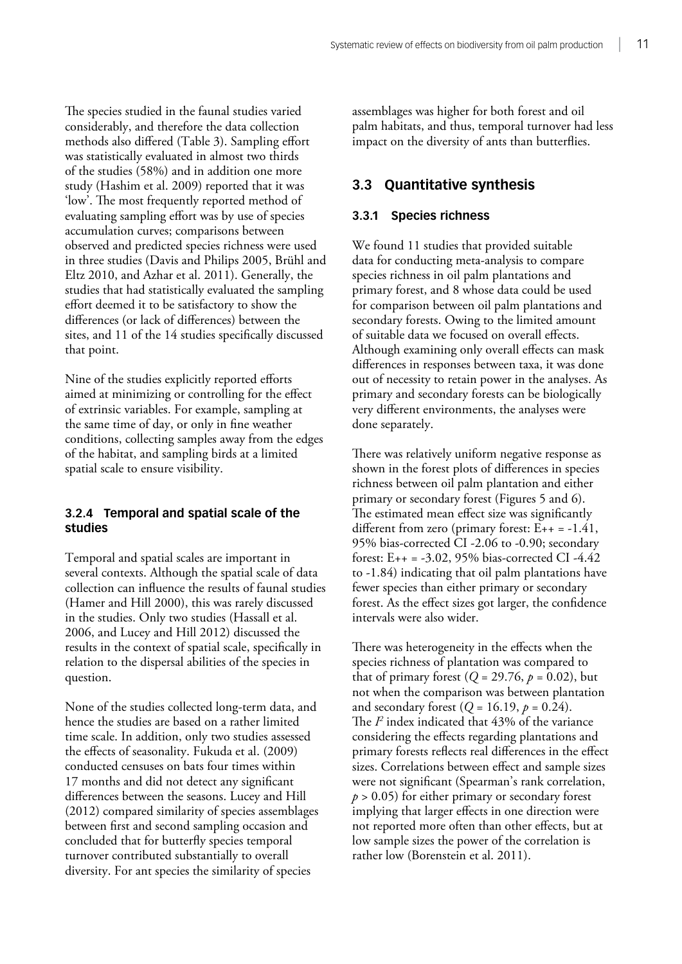<span id="page-17-0"></span>The species studied in the faunal studies varied considerably, and therefore the data collection methods also differed (Table 3). Sampling effort was statistically evaluated in almost two thirds of the studies (58%) and in addition one more study (Hashim et al. 2009) reported that it was 'low'. The most frequently reported method of evaluating sampling effort was by use of species accumulation curves; comparisons between observed and predicted species richness were used in three studies (Davis and Philips 2005, Brühl and Eltz 2010, and Azhar et al. 2011). Generally, the studies that had statistically evaluated the sampling effort deemed it to be satisfactory to show the differences (or lack of differences) between the sites, and 11 of the 14 studies specifically discussed that point.

Nine of the studies explicitly reported efforts aimed at minimizing or controlling for the effect of extrinsic variables. For example, sampling at the same time of day, or only in fine weather conditions, collecting samples away from the edges of the habitat, and sampling birds at a limited spatial scale to ensure visibility.

#### **3.2.4 Temporal and spatial scale of the studies**

Temporal and spatial scales are important in several contexts. Although the spatial scale of data collection can influence the results of faunal studies (Hamer and Hill 2000), this was rarely discussed in the studies. Only two studies (Hassall et al. 2006, and Lucey and Hill 2012) discussed the results in the context of spatial scale, specifically in relation to the dispersal abilities of the species in question.

None of the studies collected long-term data, and hence the studies are based on a rather limited time scale. In addition, only two studies assessed the effects of seasonality. Fukuda et al. (2009) conducted censuses on bats four times within 17 months and did not detect any significant differences between the seasons. Lucey and Hill (2012) compared similarity of species assemblages between first and second sampling occasion and concluded that for butterfly species temporal turnover contributed substantially to overall diversity. For ant species the similarity of species

assemblages was higher for both forest and oil palm habitats, and thus, temporal turnover had less impact on the diversity of ants than butterflies.

#### **3.3 Quantitative synthesis**

#### **3.3.1 Species richness**

We found 11 studies that provided suitable data for conducting meta-analysis to compare species richness in oil palm plantations and primary forest, and 8 whose data could be used for comparison between oil palm plantations and secondary forests. Owing to the limited amount of suitable data we focused on overall effects. Although examining only overall effects can mask differences in responses between taxa, it was done out of necessity to retain power in the analyses. As primary and secondary forests can be biologically very different environments, the analyses were done separately.

There was relatively uniform negative response as shown in the forest plots of differences in species richness between oil palm plantation and either primary or secondary forest (Figures 5 and 6). The estimated mean effect size was significantly different from zero (primary forest:  $E_{++} = -1.41$ , 95% bias-corrected CI -2.06 to -0.90; secondary forest:  $E_{++} = -3.02, 95\%$  bias-corrected CI -4.42 to -1.84) indicating that oil palm plantations have fewer species than either primary or secondary forest. As the effect sizes got larger, the confidence intervals were also wider.

There was heterogeneity in the effects when the species richness of plantation was compared to that of primary forest  $(Q = 29.76, p = 0.02)$ , but not when the comparison was between plantation and secondary forest ( $Q = 16.19$ ,  $p = 0.24$ ). The *I2* index indicated that 43% of the variance considering the effects regarding plantations and primary forests reflects real differences in the effect sizes. Correlations between effect and sample sizes were not significant (Spearman's rank correlation,  $p > 0.05$ ) for either primary or secondary forest implying that larger effects in one direction were not reported more often than other effects, but at low sample sizes the power of the correlation is rather low (Borenstein et al. 2011).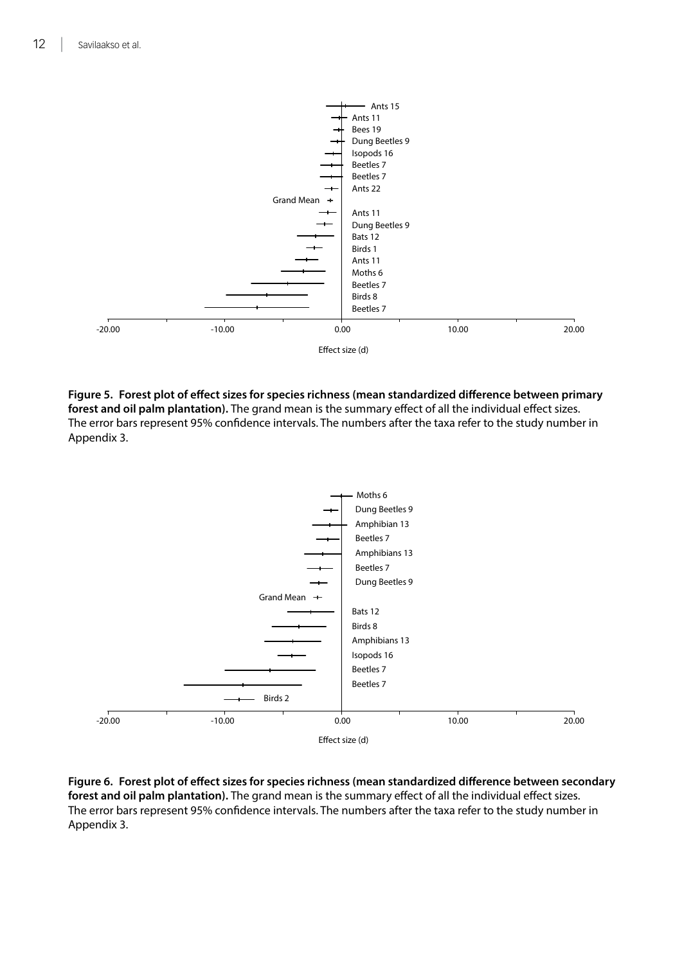<span id="page-18-0"></span>

**Figure 5. Forest plot of effect sizes for species richness (mean standardized difference between primary forest and oil palm plantation).** The grand mean is the summary effect of all the individual effect sizes. The error bars represent 95% confidence intervals. The numbers after the taxa refer to the study number in Appendix 3.



**Figure 6. Forest plot of effect sizes for species richness (mean standardized difference between secondary forest and oil palm plantation).** The grand mean is the summary effect of all the individual effect sizes. The error bars represent 95% confidence intervals. The numbers after the taxa refer to the study number in Appendix 3.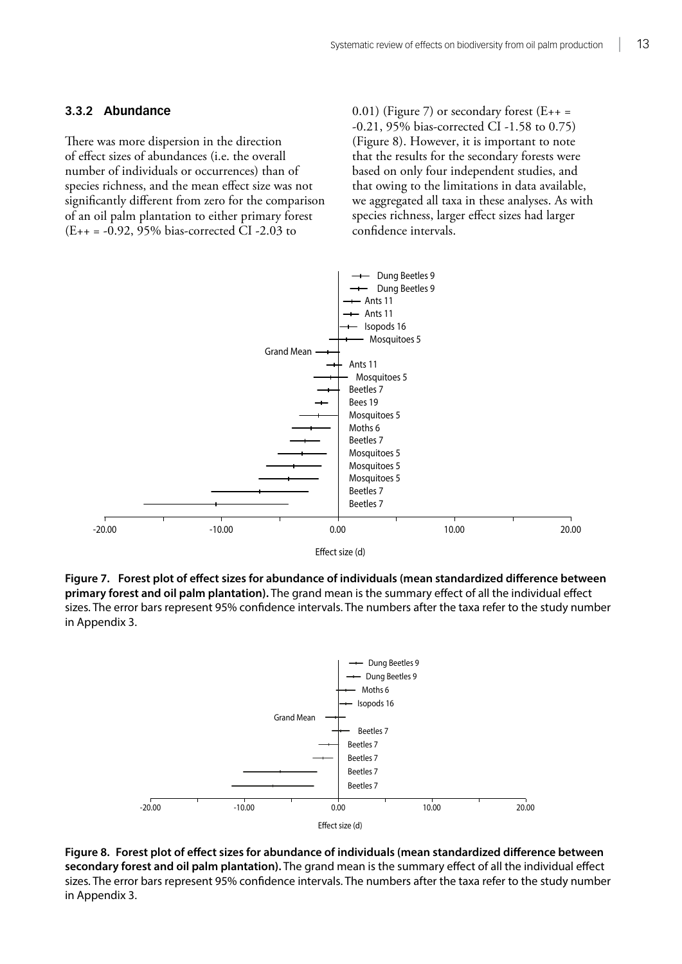#### <span id="page-19-0"></span>**3.3.2 Abundance**

There was more dispersion in the direction of effect sizes of abundances (i.e. the overall number of individuals or occurrences) than of species richness, and the mean effect size was not significantly different from zero for the comparison of an oil palm plantation to either primary forest (E++ = -0.92, 95% bias-corrected CI -2.03 to

 $(0.01)$  (Figure 7) or secondary forest (E++ = -0.21, 95% bias-corrected CI -1.58 to 0.75) (Figure 8). However, it is important to note that the results for the secondary forests were based on only four independent studies, and that owing to the limitations in data available, we aggregated all taxa in these analyses. As with species richness, larger effect sizes had larger confidence intervals.



**Figure 7. Forest plot of effect sizes for abundance of individuals (mean standardized difference between primary forest and oil palm plantation).** The grand mean is the summary effect of all the individual effect sizes. The error bars represent 95% confidence intervals. The numbers after the taxa refer to the study number in Appendix 3.



**Figure 8. Forest plot of effect sizes for abundance of individuals (mean standardized difference between secondary forest and oil palm plantation).** The grand mean is the summary effect of all the individual effect sizes. The error bars represent 95% confidence intervals. The numbers after the taxa refer to the study number in Appendix 3.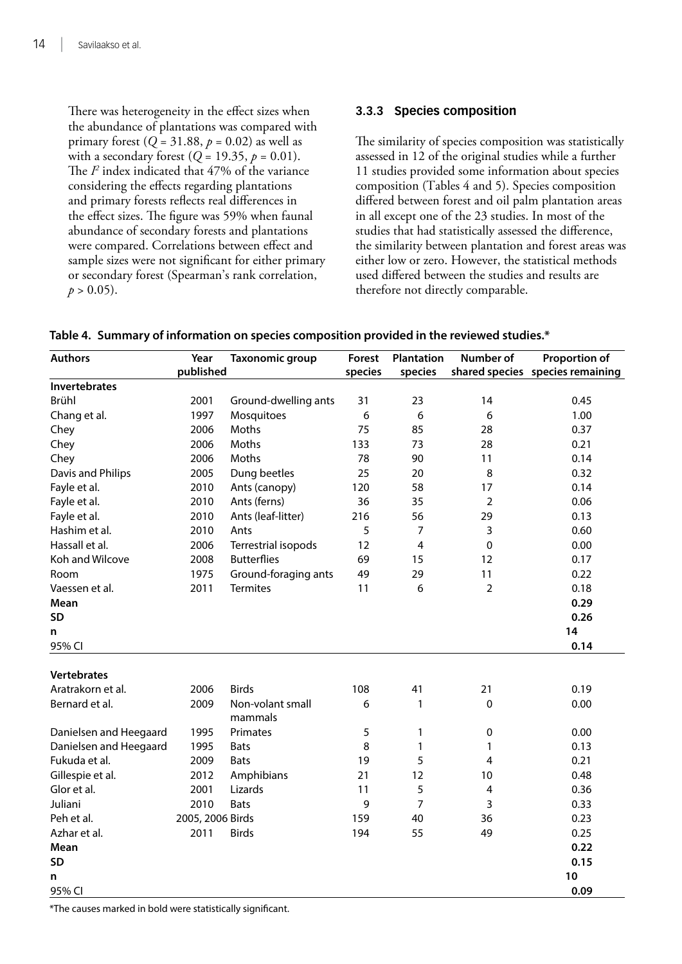<span id="page-20-0"></span>There was heterogeneity in the effect sizes when the abundance of plantations was compared with primary forest  $(Q = 31.88, p = 0.02)$  as well as with a secondary forest ( $Q = 19.35$ ,  $p = 0.01$ ). The  $P$  index indicated that  $47\%$  of the variance considering the effects regarding plantations and primary forests reflects real differences in the effect sizes. The figure was 59% when faunal abundance of secondary forests and plantations were compared. Correlations between effect and sample sizes were not significant for either primary or secondary forest (Spearman's rank correlation,  $p > 0.05$ ).

#### **3.3.3 Species composition**

The similarity of species composition was statistically assessed in 12 of the original studies while a further 11 studies provided some information about species composition (Tables 4 and 5). Species composition differed between forest and oil palm plantation areas in all except one of the 23 studies. In most of the studies that had statistically assessed the difference, the similarity between plantation and forest areas was either low or zero. However, the statistical methods used differed between the studies and results are therefore not directly comparable.

**Table 4. Summary of information on species composition provided in the reviewed studies.\***

| <b>Authors</b>         | Year             | <b>Taxonomic group</b>      | Forest  | <b>Plantation</b> | <b>Number of</b> | <b>Proportion of</b>             |
|------------------------|------------------|-----------------------------|---------|-------------------|------------------|----------------------------------|
|                        | published        |                             | species | species           |                  | shared species species remaining |
| Invertebrates          |                  |                             |         |                   |                  |                                  |
| Brühl                  | 2001             | Ground-dwelling ants        | 31      | 23                | 14               | 0.45                             |
| Chang et al.           | 1997             | Mosquitoes                  | 6       | 6                 | 6                | 1.00                             |
| Chey                   | 2006             | Moths                       | 75      | 85                | 28               | 0.37                             |
| Chey                   | 2006             | Moths                       | 133     | 73                | 28               | 0.21                             |
| Chey                   | 2006             | Moths                       | 78      | 90                | 11               | 0.14                             |
| Davis and Philips      | 2005             | Dung beetles                | 25      | 20                | 8                | 0.32                             |
| Fayle et al.           | 2010             | Ants (canopy)               | 120     | 58                | 17               | 0.14                             |
| Fayle et al.           | 2010             | Ants (ferns)                | 36      | 35                | $\overline{2}$   | 0.06                             |
| Fayle et al.           | 2010             | Ants (leaf-litter)          | 216     | 56                | 29               | 0.13                             |
| Hashim et al.          | 2010             | Ants                        | 5       | 7                 | 3                | 0.60                             |
| Hassall et al.         | 2006             | Terrestrial isopods         | 12      | 4                 | 0                | 0.00                             |
| Koh and Wilcove        | 2008             | <b>Butterflies</b>          | 69      | 15                | 12               | 0.17                             |
| Room                   | 1975             | Ground-foraging ants        | 49      | 29                | 11               | 0.22                             |
| Vaessen et al.         | 2011             | <b>Termites</b>             | 11      | 6                 | $\overline{2}$   | 0.18                             |
| Mean                   |                  |                             |         |                   |                  | 0.29                             |
| <b>SD</b>              |                  |                             |         |                   |                  | 0.26                             |
| n                      |                  |                             |         |                   |                  | 14                               |
| 95% CI                 |                  |                             |         |                   |                  | 0.14                             |
|                        |                  |                             |         |                   |                  |                                  |
| <b>Vertebrates</b>     |                  |                             |         |                   |                  |                                  |
| Aratrakorn et al.      | 2006             | <b>Birds</b>                | 108     | 41                | 21               | 0.19                             |
| Bernard et al.         | 2009             | Non-volant small<br>mammals | 6       | 1                 | 0                | 0.00                             |
| Danielsen and Heegaard | 1995             | Primates                    | 5       | 1                 | 0                | 0.00                             |
| Danielsen and Heegaard | 1995             | <b>Bats</b>                 | 8       | 1                 | 1                | 0.13                             |
| Fukuda et al.          | 2009             | <b>Bats</b>                 | 19      | 5                 | 4                | 0.21                             |
| Gillespie et al.       | 2012             | Amphibians                  | 21      | 12                | 10               | 0.48                             |
| Glor et al.            | 2001             | Lizards                     | 11      | 5                 | 4                | 0.36                             |
| Juliani                | 2010             | <b>Bats</b>                 | 9       | 7                 | 3                | 0.33                             |
| Peh et al.             | 2005, 2006 Birds |                             | 159     | 40                | 36               | 0.23                             |
| Azhar et al.           | 2011             | <b>Birds</b>                | 194     | 55                | 49               | 0.25                             |
| Mean                   |                  |                             |         |                   |                  | 0.22                             |
| <b>SD</b>              |                  |                             |         |                   |                  | 0.15                             |
| n                      |                  |                             |         |                   |                  | 10                               |
| 95% CI                 |                  |                             |         |                   |                  | 0.09                             |

\*The causes marked in bold were statistically significant.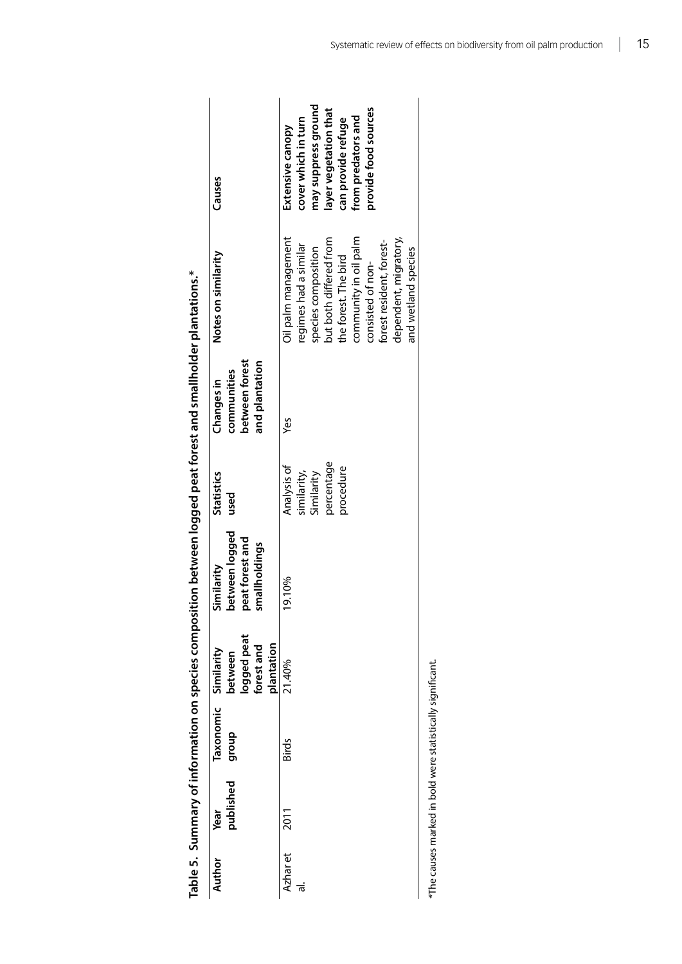<span id="page-21-0"></span>

|                                                                                                                  | Causes                                                           | may sergess ground<br>provide food sources<br>layer vegetation that<br>from predators and<br>cover which in turn<br>can provide refuge<br>Extensive canopy                                                               |
|------------------------------------------------------------------------------------------------------------------|------------------------------------------------------------------|--------------------------------------------------------------------------------------------------------------------------------------------------------------------------------------------------------------------------|
|                                                                                                                  | Notes on similarity                                              | dependent, migratory,<br>Oil palm management<br>community in oil palm<br>but both differed from<br>forest resident, forest-<br>regimes had a similar<br>species composition<br>the forest. The bird<br>consisted of non- |
| י היית המונים בין היית המונים בין היית המונים בין היית המונים בין היית המונים הייתה המונים בין הייתה הייתה המוני | between forest<br>and plantation<br>communities<br>Changes in    | Š                                                                                                                                                                                                                        |
|                                                                                                                  | <b>Statistics</b><br>used                                        | percentage<br>Analysis of<br>procedure<br>similarity,<br>Similarity                                                                                                                                                      |
|                                                                                                                  | between logged<br>beat forest and<br>smallholdings<br>similarity | 9.10%                                                                                                                                                                                                                    |
|                                                                                                                  | logged peat<br>forest and<br>plantation<br>Similarity<br>between | 21.40%                                                                                                                                                                                                                   |
|                                                                                                                  | Taxonomic<br>dhoub                                               | Birds                                                                                                                                                                                                                    |
|                                                                                                                  | published<br>Year                                                | 2011                                                                                                                                                                                                                     |
|                                                                                                                  | Author                                                           | Azhar et<br>ಕ                                                                                                                                                                                                            |

Table 5. Summary of information on species composition between logged peat forest and smallholder plantations.\* **Table 5. Summary of information on species composition between logged peat forest and smallholder plantations.\***

\*The causes marked in bold were statistically significant. \*The causes marked in bold were statistically significant.

and wetland species

and wetland species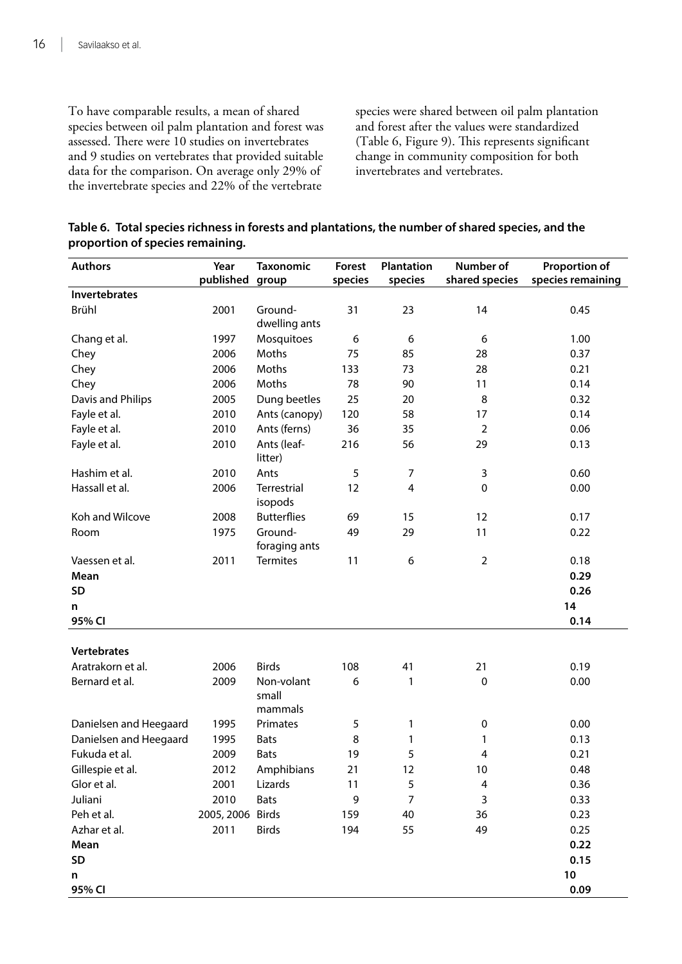To have comparable results, a mean of shared species between oil palm plantation and forest was assessed. There were 10 studies on invertebrates and 9 studies on vertebrates that provided suitable data for the comparison. On average only 29% of the invertebrate species and 22% of the vertebrate

species were shared between oil palm plantation and forest after the values were standardized (Table 6, Figure 9). This represents significant change in community composition for both invertebrates and vertebrates.

| Table 6. Total species richness in forests and plantations, the number of shared species, and the |  |
|---------------------------------------------------------------------------------------------------|--|
| proportion of species remaining.                                                                  |  |

| <b>Authors</b>         | Year             | <b>Taxonomic</b>               | Forest  | <b>Plantation</b> | Number of      | Proportion of     |
|------------------------|------------------|--------------------------------|---------|-------------------|----------------|-------------------|
|                        | published        | group                          | species | species           | shared species | species remaining |
| <b>Invertebrates</b>   |                  |                                |         |                   |                |                   |
| Brühl                  | 2001             | Ground-<br>dwelling ants       | 31      | 23                | 14             | 0.45              |
| Chang et al.           | 1997             | Mosquitoes                     | 6       | 6                 | 6              | 1.00              |
| Chey                   | 2006             | Moths                          | 75      | 85                | 28             | 0.37              |
| Chey                   | 2006             | Moths                          | 133     | 73                | 28             | 0.21              |
| Chey                   | 2006             | Moths                          | 78      | 90                | 11             | 0.14              |
| Davis and Philips      | 2005             | Dung beetles                   | 25      | 20                | 8              | 0.32              |
| Fayle et al.           | 2010             | Ants (canopy)                  | 120     | 58                | 17             | 0.14              |
| Fayle et al.           | 2010             | Ants (ferns)                   | 36      | 35                | $\overline{2}$ | 0.06              |
| Fayle et al.           | 2010             | Ants (leaf-<br>litter)         | 216     | 56                | 29             | 0.13              |
| Hashim et al.          | 2010             | Ants                           | 5       | $\boldsymbol{7}$  | 3              | 0.60              |
| Hassall et al.         | 2006             | <b>Terrestrial</b><br>isopods  | 12      | 4                 | 0              | 0.00              |
| Koh and Wilcove        | 2008             | <b>Butterflies</b>             | 69      | 15                | 12             | 0.17              |
| Room                   | 1975             | Ground-<br>foraging ants       | 49      | 29                | 11             | 0.22              |
| Vaessen et al.         | 2011             | <b>Termites</b>                | 11      | 6                 | $\overline{2}$ | 0.18              |
| Mean                   |                  |                                |         |                   |                | 0.29              |
| <b>SD</b>              |                  |                                |         |                   |                | 0.26              |
| n                      |                  |                                |         |                   |                | 14                |
| 95% CI                 |                  |                                |         |                   |                | 0.14              |
|                        |                  |                                |         |                   |                |                   |
| <b>Vertebrates</b>     |                  |                                |         |                   |                |                   |
| Aratrakorn et al.      | 2006             | <b>Birds</b>                   | 108     | 41                | 21             | 0.19              |
| Bernard et al.         | 2009             | Non-volant<br>small<br>mammals | 6       | 1                 | $\pmb{0}$      | 0.00              |
| Danielsen and Heegaard | 1995             | Primates                       | 5       | 1                 | 0              | 0.00              |
| Danielsen and Heegaard | 1995             | <b>Bats</b>                    | 8       | 1                 | 1              | 0.13              |
| Fukuda et al.          | 2009             | <b>Bats</b>                    | 19      | 5                 | 4              | 0.21              |
| Gillespie et al.       | 2012             | Amphibians                     | 21      | 12                | 10             | 0.48              |
| Glor et al.            | 2001             | Lizards                        | 11      | 5                 | 4              | 0.36              |
| Juliani                | 2010             | <b>Bats</b>                    | 9       | $\overline{7}$    | 3              | 0.33              |
| Peh et al.             | 2005, 2006 Birds |                                | 159     | 40                | 36             | 0.23              |
| Azhar et al.           | 2011             | <b>Birds</b>                   | 194     | 55                | 49             | 0.25              |
| Mean                   |                  |                                |         |                   |                | 0.22              |
| SD                     |                  |                                |         |                   |                | 0.15              |
| n                      |                  |                                |         |                   |                | $10\,$            |
| 95% CI                 |                  |                                |         |                   |                | 0.09              |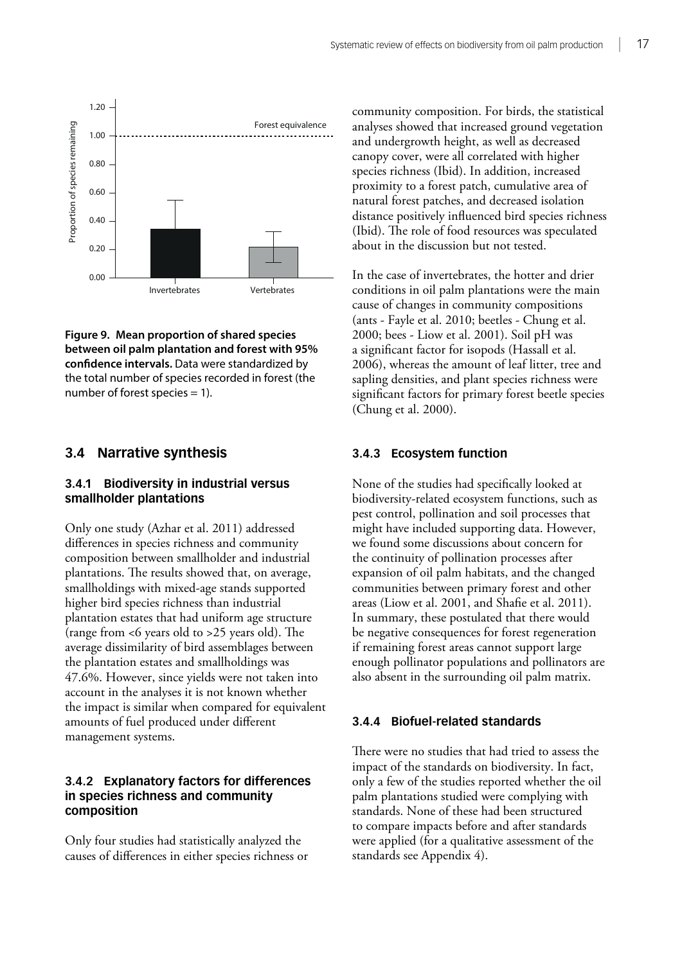<span id="page-23-0"></span>

**Figure 9. Mean proportion of shared species between oil palm plantation and forest with 95% confidence intervals.** Data were standardized by the total number of species recorded in forest (the number of forest species  $= 1$ ).

#### **3.4 Narrative synthesis**

#### **3.4.1 Biodiversity in industrial versus smallholder plantations**

Only one study (Azhar et al. 2011) addressed differences in species richness and community composition between smallholder and industrial plantations. The results showed that, on average, smallholdings with mixed-age stands supported higher bird species richness than industrial plantation estates that had uniform age structure (range from <6 years old to >25 years old). The average dissimilarity of bird assemblages between the plantation estates and smallholdings was 47.6%. However, since yields were not taken into account in the analyses it is not known whether the impact is similar when compared for equivalent amounts of fuel produced under different management systems.

#### **3.4.2 Explanatory factors for differences in species richness and community composition**

Only four studies had statistically analyzed the causes of differences in either species richness or community composition. For birds, the statistical analyses showed that increased ground vegetation and undergrowth height, as well as decreased canopy cover, were all correlated with higher species richness (Ibid). In addition, increased proximity to a forest patch, cumulative area of natural forest patches, and decreased isolation distance positively influenced bird species richness (Ibid). The role of food resources was speculated about in the discussion but not tested.

In the case of invertebrates, the hotter and drier conditions in oil palm plantations were the main cause of changes in community compositions (ants - Fayle et al. 2010; beetles - Chung et al. 2000; bees - Liow et al. 2001). Soil pH was a significant factor for isopods (Hassall et al. 2006), whereas the amount of leaf litter, tree and sapling densities, and plant species richness were significant factors for primary forest beetle species (Chung et al. 2000).

#### **3.4.3 Ecosystem function**

None of the studies had specifically looked at biodiversity-related ecosystem functions, such as pest control, pollination and soil processes that might have included supporting data. However, we found some discussions about concern for the continuity of pollination processes after expansion of oil palm habitats, and the changed communities between primary forest and other areas (Liow et al. 2001, and Shafie et al. 2011). In summary, these postulated that there would be negative consequences for forest regeneration if remaining forest areas cannot support large enough pollinator populations and pollinators are also absent in the surrounding oil palm matrix.

#### **3.4.4 Biofuel-related standards**

There were no studies that had tried to assess the impact of the standards on biodiversity. In fact, only a few of the studies reported whether the oil palm plantations studied were complying with standards. None of these had been structured to compare impacts before and after standards were applied (for a qualitative assessment of the standards see Appendix 4).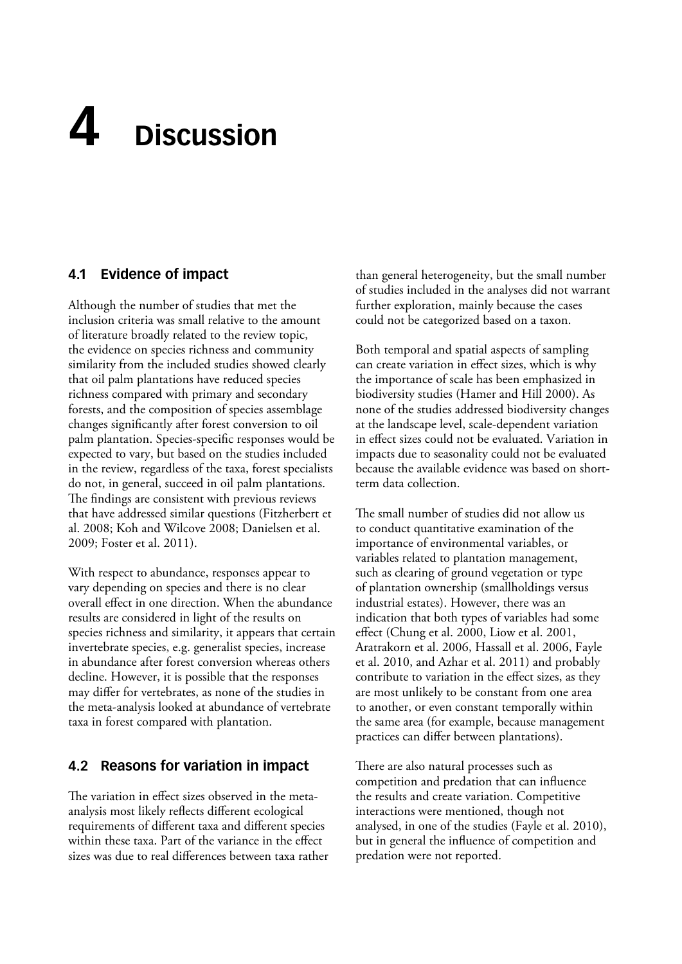# <span id="page-24-0"></span>**Discussion 4**

## **4.1 Evidence of impact**

Although the number of studies that met the inclusion criteria was small relative to the amount of literature broadly related to the review topic, the evidence on species richness and community similarity from the included studies showed clearly that oil palm plantations have reduced species richness compared with primary and secondary forests, and the composition of species assemblage changes significantly after forest conversion to oil palm plantation. Species-specific responses would be expected to vary, but based on the studies included in the review, regardless of the taxa, forest specialists do not, in general, succeed in oil palm plantations. The findings are consistent with previous reviews that have addressed similar questions (Fitzherbert et al. 2008; Koh and Wilcove 2008; Danielsen et al. 2009; Foster et al. 2011).

With respect to abundance, responses appear to vary depending on species and there is no clear overall effect in one direction. When the abundance results are considered in light of the results on species richness and similarity, it appears that certain invertebrate species, e.g. generalist species, increase in abundance after forest conversion whereas others decline. However, it is possible that the responses may differ for vertebrates, as none of the studies in the meta-analysis looked at abundance of vertebrate taxa in forest compared with plantation.

### **4.2 Reasons for variation in impact**

The variation in effect sizes observed in the metaanalysis most likely reflects different ecological requirements of different taxa and different species within these taxa. Part of the variance in the effect sizes was due to real differences between taxa rather than general heterogeneity, but the small number of studies included in the analyses did not warrant further exploration, mainly because the cases could not be categorized based on a taxon.

Both temporal and spatial aspects of sampling can create variation in effect sizes, which is why the importance of scale has been emphasized in biodiversity studies (Hamer and Hill 2000). As none of the studies addressed biodiversity changes at the landscape level, scale-dependent variation in effect sizes could not be evaluated. Variation in impacts due to seasonality could not be evaluated because the available evidence was based on shortterm data collection.

The small number of studies did not allow us to conduct quantitative examination of the importance of environmental variables, or variables related to plantation management, such as clearing of ground vegetation or type of plantation ownership (smallholdings versus industrial estates). However, there was an indication that both types of variables had some effect (Chung et al. 2000, Liow et al. 2001, Aratrakorn et al. 2006, Hassall et al. 2006, Fayle et al. 2010, and Azhar et al. 2011) and probably contribute to variation in the effect sizes, as they are most unlikely to be constant from one area to another, or even constant temporally within the same area (for example, because management practices can differ between plantations).

There are also natural processes such as competition and predation that can influence the results and create variation. Competitive interactions were mentioned, though not analysed, in one of the studies (Fayle et al. 2010), but in general the influence of competition and predation were not reported.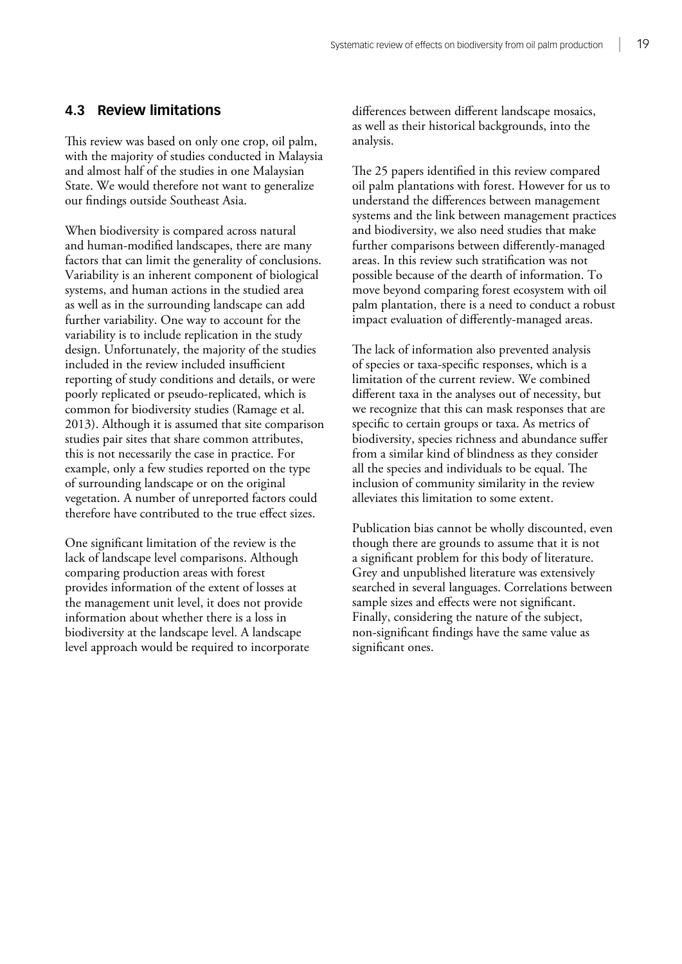#### <span id="page-25-0"></span>**4.3 Review limitations**

This review was based on only one crop, oil palm, with the majority of studies conducted in Malaysia and almost half of the studies in one Malaysian State. We would therefore not want to generalize our findings outside Southeast Asia.

When biodiversity is compared across natural and human-modified landscapes, there are many factors that can limit the generality of conclusions. Variability is an inherent component of biological systems, and human actions in the studied area as well as in the surrounding landscape can add further variability. One way to account for the variability is to include replication in the study design. Unfortunately, the majority of the studies included in the review included insufficient reporting of study conditions and details, or were poorly replicated or pseudo-replicated, which is common for biodiversity studies (Ramage et al. 2013). Although it is assumed that site comparison studies pair sites that share common attributes, this is not necessarily the case in practice. For example, only a few studies reported on the type of surrounding landscape or on the original vegetation. A number of unreported factors could therefore have contributed to the true effect sizes.

One significant limitation of the review is the lack of landscape level comparisons. Although comparing production areas with forest provides information of the extent of losses at the management unit level, it does not provide information about whether there is a loss in biodiversity at the landscape level. A landscape level approach would be required to incorporate differences between different landscape mosaics, as well as their historical backgrounds, into the analysis.

The 25 papers identified in this review compared oil palm plantations with forest. However for us to understand the differences between management systems and the link between management practices and biodiversity, we also need studies that make further comparisons between differently-managed areas. In this review such stratification was not possible because of the dearth of information. To move beyond comparing forest ecosystem with oil palm plantation, there is a need to conduct a robust impact evaluation of differently-managed areas.

The lack of information also prevented analysis of species or taxa-specific responses, which is a limitation of the current review. We combined different taxa in the analyses out of necessity, but we recognize that this can mask responses that are specific to certain groups or taxa. As metrics of biodiversity, species richness and abundance suffer from a similar kind of blindness as they consider all the species and individuals to be equal. The inclusion of community similarity in the review alleviates this limitation to some extent.

Publication bias cannot be wholly discounted, even though there are grounds to assume that it is not a significant problem for this body of literature. Grey and unpublished literature was extensively searched in several languages. Correlations between sample sizes and effects were not significant. Finally, considering the nature of the subject, non-significant findings have the same value as significant ones.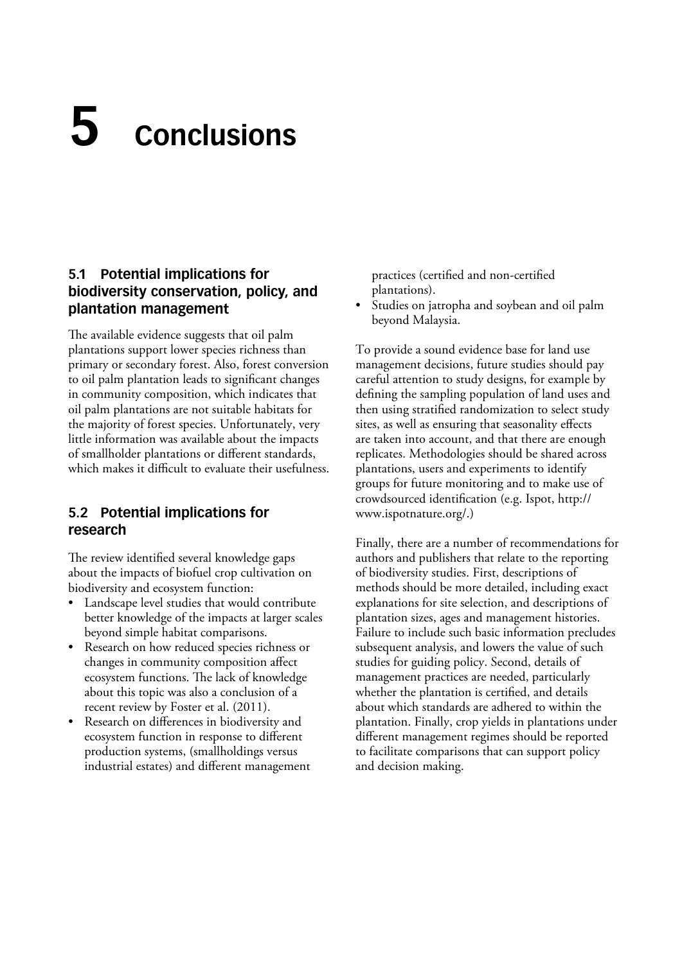# <span id="page-26-0"></span>**Conclusions 5**

## **5.1 Potential implications for biodiversity conservation, policy, and plantation management**

The available evidence suggests that oil palm plantations support lower species richness than primary or secondary forest. Also, forest conversion to oil palm plantation leads to significant changes in community composition, which indicates that oil palm plantations are not suitable habitats for the majority of forest species. Unfortunately, very little information was available about the impacts of smallholder plantations or different standards, which makes it difficult to evaluate their usefulness.

## **5.2 Potential implications for research**

The review identified several knowledge gaps about the impacts of biofuel crop cultivation on biodiversity and ecosystem function:

- Landscape level studies that would contribute better knowledge of the impacts at larger scales beyond simple habitat comparisons.
- Research on how reduced species richness or changes in community composition affect ecosystem functions. The lack of knowledge about this topic was also a conclusion of a recent review by Foster et al. (2011).
- Research on differences in biodiversity and ecosystem function in response to different production systems, (smallholdings versus industrial estates) and different management

practices (certified and non-certified plantations).

• Studies on jatropha and soybean and oil palm beyond Malaysia.

To provide a sound evidence base for land use management decisions, future studies should pay careful attention to study designs, for example by defining the sampling population of land uses and then using stratified randomization to select study sites, as well as ensuring that seasonality effects are taken into account, and that there are enough replicates. Methodologies should be shared across plantations, users and experiments to identify groups for future monitoring and to make use of crowdsourced identification (e.g. Ispot, http:// www.ispotnature.org/.)

Finally, there are a number of recommendations for authors and publishers that relate to the reporting of biodiversity studies. First, descriptions of methods should be more detailed, including exact explanations for site selection, and descriptions of plantation sizes, ages and management histories. Failure to include such basic information precludes subsequent analysis, and lowers the value of such studies for guiding policy. Second, details of management practices are needed, particularly whether the plantation is certified, and details about which standards are adhered to within the plantation. Finally, crop yields in plantations under different management regimes should be reported to facilitate comparisons that can support policy and decision making.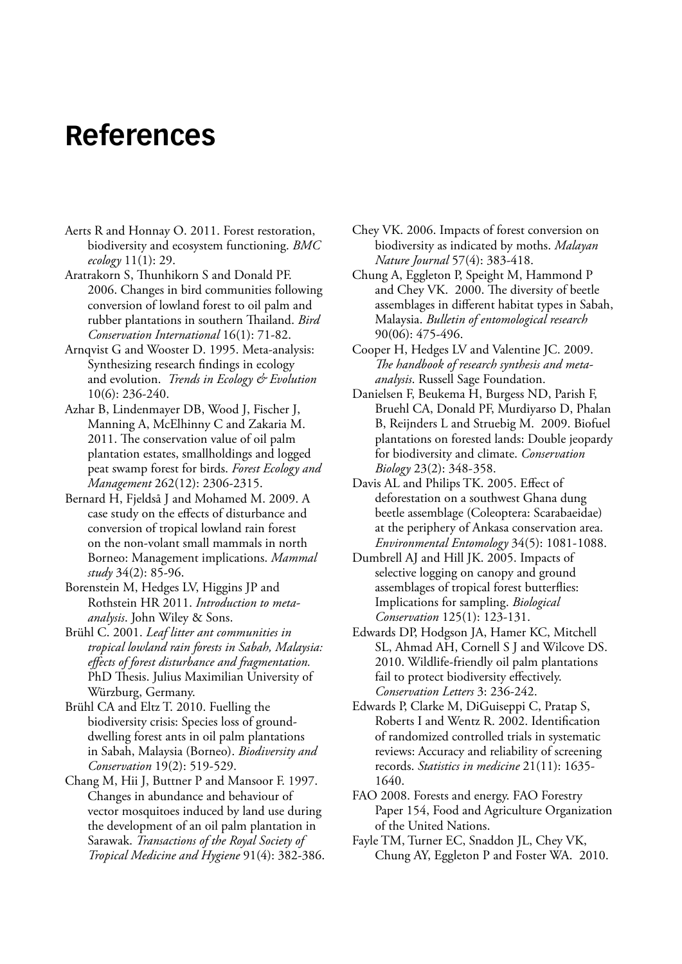# <span id="page-27-0"></span>**References**

- Aerts R and Honnay O. 2011. Forest restoration, biodiversity and ecosystem functioning. *BMC ecology* 11(1): 29.
- Aratrakorn S, Thunhikorn S and Donald PF. 2006. Changes in bird communities following conversion of lowland forest to oil palm and rubber plantations in southern Thailand. *Bird Conservation International* 16(1): 71-82.
- Arnqvist G and Wooster D. 1995. Meta-analysis: Synthesizing research findings in ecology and evolution. *Trends in Ecology & Evolution* 10(6): 236-240.
- Azhar B, Lindenmayer DB, Wood J, Fischer J, Manning A, McElhinny C and Zakaria M. 2011. The conservation value of oil palm plantation estates, smallholdings and logged peat swamp forest for birds. *Forest Ecology and Management* 262(12): 2306-2315.
- Bernard H, Fjeldså J and Mohamed M. 2009. A case study on the effects of disturbance and conversion of tropical lowland rain forest on the non-volant small mammals in north Borneo: Management implications. *Mammal study* 34(2): 85-96.
- Borenstein M, Hedges LV, Higgins JP and Rothstein HR 2011. *Introduction to metaanalysis*. John Wiley & Sons.
- Brühl C. 2001. *Leaf litter ant communities in tropical lowland rain forests in Sabah, Malaysia: effects of forest disturbance and fragmentation.* PhD Thesis. Julius Maximilian University of Würzburg, Germany.
- Brühl CA and Eltz T. 2010. Fuelling the biodiversity crisis: Species loss of grounddwelling forest ants in oil palm plantations in Sabah, Malaysia (Borneo). *Biodiversity and Conservation* 19(2): 519-529.
- Chang M, Hii J, Buttner P and Mansoor F. 1997. Changes in abundance and behaviour of vector mosquitoes induced by land use during the development of an oil palm plantation in Sarawak. *Transactions of the Royal Society of Tropical Medicine and Hygiene* 91(4): 382-386.
- Chey VK. 2006. Impacts of forest conversion on biodiversity as indicated by moths. *Malayan Nature Journal* 57(4): 383-418.
- Chung A, Eggleton P, Speight M, Hammond P and Chey VK. 2000. The diversity of beetle assemblages in different habitat types in Sabah, Malaysia. *Bulletin of entomological research* 90(06): 475-496.
- Cooper H, Hedges LV and Valentine JC. 2009. *The handbook of research synthesis and metaanalysis*. Russell Sage Foundation.
- Danielsen F, Beukema H, Burgess ND, Parish F, Bruehl CA, Donald PF, Murdiyarso D, Phalan B, Reijnders L and Struebig M. 2009. Biofuel plantations on forested lands: Double jeopardy for biodiversity and climate. *Conservation Biology* 23(2): 348-358.
- Davis AL and Philips TK. 2005. Effect of deforestation on a southwest Ghana dung beetle assemblage (Coleoptera: Scarabaeidae) at the periphery of Ankasa conservation area. *Environmental Entomology* 34(5): 1081-1088.
- Dumbrell AJ and Hill JK. 2005. Impacts of selective logging on canopy and ground assemblages of tropical forest butterflies: Implications for sampling. *Biological Conservation* 125(1): 123-131.
- Edwards DP, Hodgson JA, Hamer KC, Mitchell SL, Ahmad AH, Cornell S J and Wilcove DS. 2010. Wildlife-friendly oil palm plantations fail to protect biodiversity effectively. *Conservation Letters* 3: 236-242.
- Edwards P, Clarke M, DiGuiseppi C, Pratap S, Roberts I and Wentz R. 2002. Identification of randomized controlled trials in systematic reviews: Accuracy and reliability of screening records. *Statistics in medicine* 21(11): 1635- 1640.
- FAO 2008. Forests and energy. FAO Forestry Paper 154, Food and Agriculture Organization of the United Nations.
- Fayle TM, Turner EC, Snaddon JL, Chey VK, Chung AY, Eggleton P and Foster WA. 2010.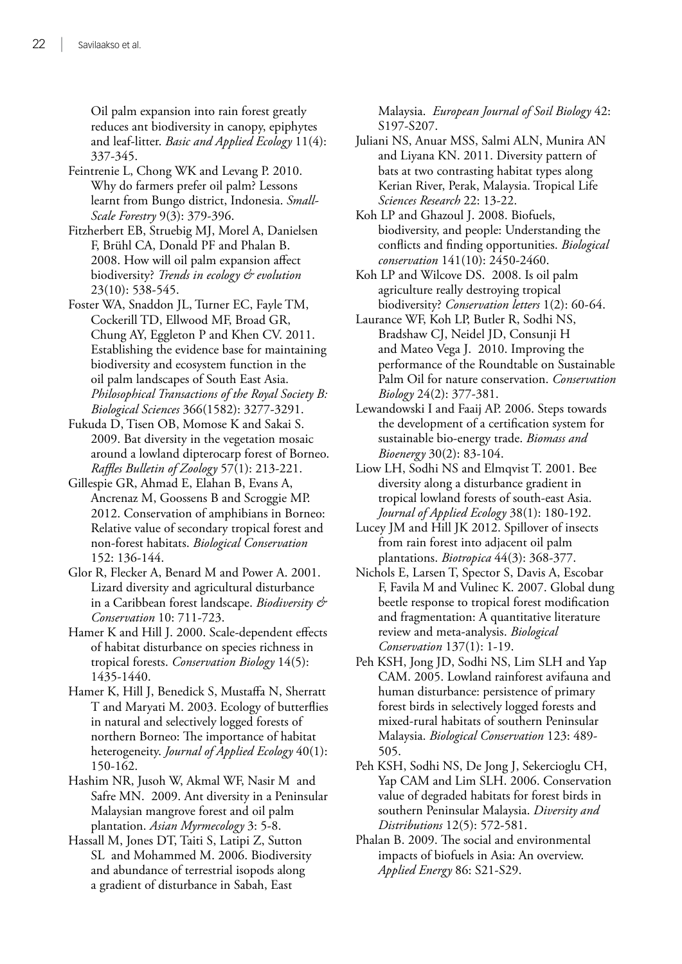Oil palm expansion into rain forest greatly reduces ant biodiversity in canopy, epiphytes and leaf-litter. *Basic and Applied Ecology* 11(4): 337-345.

- Feintrenie L, Chong WK and Levang P. 2010. Why do farmers prefer oil palm? Lessons learnt from Bungo district, Indonesia. *Small-Scale Forestry* 9(3): 379-396.
- Fitzherbert EB, Struebig MJ, Morel A, Danielsen F, Brühl CA, Donald PF and Phalan B. 2008. How will oil palm expansion affect biodiversity? *Trends in ecology & evolution* 23(10): 538-545.
- Foster WA, Snaddon JL, Turner EC, Fayle TM, Cockerill TD, Ellwood MF, Broad GR, Chung AY, Eggleton P and Khen CV. 2011. Establishing the evidence base for maintaining biodiversity and ecosystem function in the oil palm landscapes of South East Asia. *Philosophical Transactions of the Royal Society B: Biological Sciences* 366(1582): 3277-3291.
- Fukuda D, Tisen OB, Momose K and Sakai S. 2009. Bat diversity in the vegetation mosaic around a lowland dipterocarp forest of Borneo. *Raffles Bulletin of Zoology* 57(1): 213-221.
- Gillespie GR, Ahmad E, Elahan B, Evans A, Ancrenaz M, Goossens B and Scroggie MP. 2012. Conservation of amphibians in Borneo: Relative value of secondary tropical forest and non-forest habitats. *Biological Conservation* 152: 136-144.
- Glor R, Flecker A, Benard M and Power A. 2001. Lizard diversity and agricultural disturbance in a Caribbean forest landscape. *Biodiversity & Conservation* 10: 711-723.
- Hamer K and Hill J. 2000. Scale‐dependent effects of habitat disturbance on species richness in tropical forests. *Conservation Biology* 14(5): 1435-1440.
- Hamer K, Hill J, Benedick S, Mustaffa N, Sherratt T and Maryati M. 2003. Ecology of butterflies in natural and selectively logged forests of northern Borneo: The importance of habitat heterogeneity. *Journal of Applied Ecology* 40(1): 150-162.
- Hashim NR, Jusoh W, Akmal WF, Nasir M and Safre MN. 2009. Ant diversity in a Peninsular Malaysian mangrove forest and oil palm plantation. *Asian Myrmecology* 3: 5-8.
- Hassall M, Jones DT, Taiti S, Latipi Z, Sutton SL and Mohammed M. 2006. Biodiversity and abundance of terrestrial isopods along a gradient of disturbance in Sabah, East

Malaysia. *European Journal of Soil Biology* 42: S197-S207.

- Juliani NS, Anuar MSS, Salmi ALN, Munira AN and Liyana KN. 2011. Diversity pattern of bats at two contrasting habitat types along Kerian River, Perak, Malaysia. Tropical Life *Sciences Research* 22: 13-22.
- Koh LP and Ghazoul J. 2008. Biofuels, biodiversity, and people: Understanding the conflicts and finding opportunities. *Biological conservation* 141(10): 2450-2460.
- Koh LP and Wilcove DS. 2008. Is oil palm agriculture really destroying tropical biodiversity? *Conservation letters* 1(2): 60-64.
- Laurance WF, Koh LP, Butler R, Sodhi NS, Bradshaw CJ, Neidel JD, Consunji H and Mateo Vega J. 2010. Improving the performance of the Roundtable on Sustainable Palm Oil for nature conservation. *Conservation Biology* 24(2): 377-381.
- Lewandowski I and Faaij AP. 2006. Steps towards the development of a certification system for sustainable bio-energy trade. *Biomass and Bioenergy* 30(2): 83-104.
- Liow LH, Sodhi NS and Elmqvist T. 2001. Bee diversity along a disturbance gradient in tropical lowland forests of south‐east Asia. *Journal of Applied Ecology* 38(1): 180-192.
- Lucey JM and Hill JK 2012. Spillover of insects from rain forest into adjacent oil palm plantations. *Biotropica* 44(3): 368-377.
- Nichols E, Larsen T, Spector S, Davis A, Escobar F, Favila M and Vulinec K. 2007. Global dung beetle response to tropical forest modification and fragmentation: A quantitative literature review and meta-analysis. *Biological Conservation* 137(1): 1-19.
- Peh KSH, Jong JD, Sodhi NS, Lim SLH and Yap CAM. 2005. Lowland rainforest avifauna and human disturbance: persistence of primary forest birds in selectively logged forests and mixed-rural habitats of southern Peninsular Malaysia. *Biological Conservation* 123: 489- 505.
- Peh KSH, Sodhi NS, De Jong J, Sekercioglu CH, Yap CAM and Lim SLH. 2006. Conservation value of degraded habitats for forest birds in southern Peninsular Malaysia. *Diversity and Distributions* 12(5): 572-581.
- Phalan B. 2009. The social and environmental impacts of biofuels in Asia: An overview. *Applied Energy* 86: S21-S29.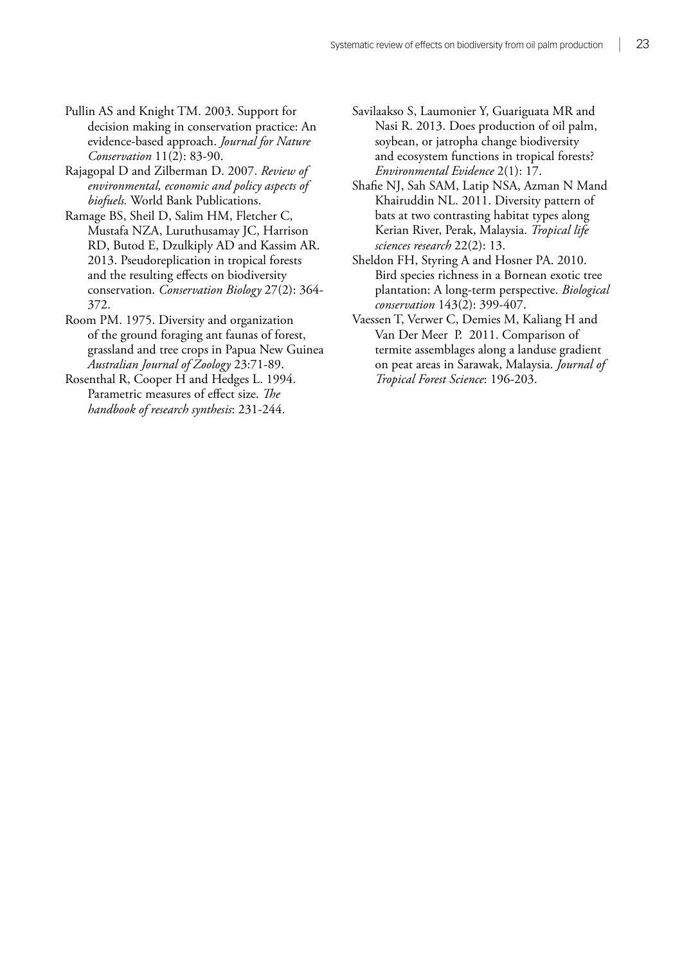- Pullin AS and Knight TM. 2003. Support for decision making in conservation practice: An evidence-based approach. *Journal for Nature Conservation* 11(2): 83-90.
- Rajagopal D and Zilberman D. 2007. *Review of environmental, economic and policy aspects of biofuels.* World Bank Publications.
- Ramage BS, Sheil D, Salim HM, Fletcher C, Mustafa NZA, Luruthusamay JC, Harrison RD, Butod E, Dzulkiply AD and Kassim AR. 2013. Pseudoreplication in tropical forests and the resulting effects on biodiversity conservation. *Conservation Biology* 27(2): 364- 372.
- Room PM. 1975. Diversity and organization of the ground foraging ant faunas of forest, grassland and tree crops in Papua New Guinea *Australian Journal of Zoology* 23:71-89.
- Rosenthal R, Cooper H and Hedges L. 1994. Parametric measures of effect size. *The handbook of research synthesis*: 231-244.
- Savilaakso S, Laumonier Y, Guariguata MR and Nasi R. 2013. Does production of oil palm, soybean, or jatropha change biodiversity and ecosystem functions in tropical forests? *Environmental Evidence* 2(1): 17.
- Shafie NJ, Sah SAM, Latip NSA, Azman N Mand Khairuddin NL. 2011. Diversity pattern of bats at two contrasting habitat types along Kerian River, Perak, Malaysia. *Tropical life sciences research* 22(2): 13.
- Sheldon FH, Styring A and Hosner PA. 2010. Bird species richness in a Bornean exotic tree plantation: A long-term perspective. *Biological conservation* 143(2): 399-407.
- Vaessen T, Verwer C, Demies M, Kaliang H and Van Der Meer P. 2011. Comparison of termite assemblages along a landuse gradient on peat areas in Sarawak, Malaysia. *Journal of Tropical Forest Science*: 196-203.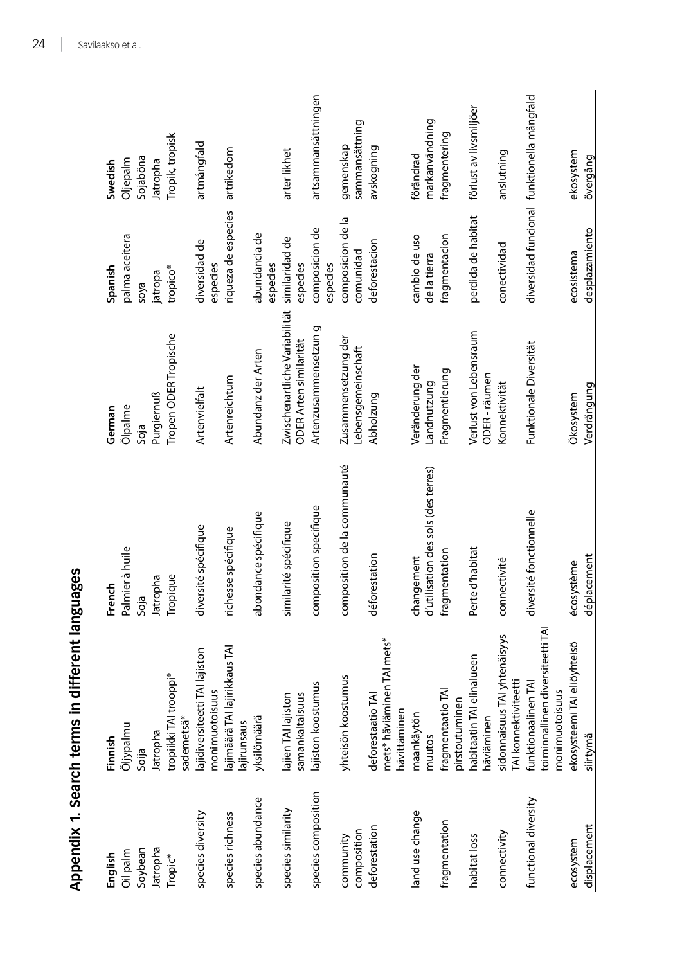<span id="page-30-0"></span>

|                           | Appendix 1. Search terms in different languages                           |                                                   |                                                         |                                |                                            |
|---------------------------|---------------------------------------------------------------------------|---------------------------------------------------|---------------------------------------------------------|--------------------------------|--------------------------------------------|
| English                   | Finnish                                                                   | French                                            | German                                                  | Spanish                        | Swedish                                    |
| Oil palm                  | Öljypalmu                                                                 | Palmier à huile                                   | Ölpalme                                                 | palma aceitera                 | Oljepalm                                   |
| Soybean                   | Soija                                                                     | Soja                                              | Soja                                                    | soya                           | Sojaböna                                   |
| Jatropha                  | Jatropha                                                                  | Jatropha                                          | Purgiernuß                                              | jatropa                        | Jatropha                                   |
| Tropic*                   | tropiikki TAI trooppi*<br>sademetsä*                                      | Tropique                                          | Tropen ODER Tropische                                   | tropico*                       | Tropik, tropisk                            |
| species diversity         | lajidiversiteetti TAI lajiston<br>monimuotoisuus                          | diversité spécifique                              | Artenvielfalt                                           | diversidad de<br>especies      | artmångfald                                |
| species richness          | lajimäärä TAI lajirikkaus TAI<br>ajirunsaus                               | richesse spécifique                               | Artenreichtum                                           | riqueza de especies            | artrikedom                                 |
| species abundance         | yksilömäärä                                                               | abondance spécifique                              | Abundanz der Arten                                      | abundancia de<br>especies      |                                            |
| species similarity        | lajien TAI lajiston<br>samankaltaisuus                                    | similarité spécifique                             | Zwischenartliche Variabilität<br>ODER Arten similarität | similaridad de<br>especies     | arter likhet                               |
| species composition       | lajiston koostumus                                                        | composition specifique                            | Artenzusammensetzun g                                   | composicion de<br>especies     | artsammansättningen                        |
| composition<br>community  | yhteisön koostumus                                                        | composition de la communauté                      | Zusammensetzung der<br>Lebensgemeinschaft               | composicion de la<br>comunidad | sammansättning<br>gemenskap                |
| deforestation             | mets* häviäminen TAI mets*<br>deforestaatio TAI<br>hävittäminen           | déforestation                                     | Abholzung                                               | deforestacion                  | avskogning                                 |
| land use change           | maankäytön<br>muutos                                                      | d'utilisation des sols (des terres)<br>changement | Veränderung der<br>Landnutzung                          | cambio de uso<br>de la tierra  | markanvändning<br>förändrad                |
| fragmentation             | fragmentaatio TAI<br>pirstoutuminen                                       | fragmentation                                     | Fragmentierung                                          | fragmentacion                  | fragmentering                              |
| habitat loss              | habitaatin TAI elinalueen<br>häviäminen                                   | Perte d'habitat                                   | Verlust von Lebensraum<br>ODER-räumen                   | perdida de habitat             | förlust av livsmiljöer                     |
| connectivity              | sidonnaisuus TAI yhtenäisyys<br>TAI konnektiviteetti                      | connectivité                                      | Konnektivität                                           | conectividad                   | anslutning                                 |
| functional diversity      | toiminnallinen diversiteetti TAI<br>funktionaalinen TAI<br>monimuotoisuus | diversité fonctionnelle                           | Funktionale Diversität                                  |                                | diversidad funcional funktionella mångfald |
| displacement<br>ecosystem | ekosysteemi TAI eliöyhteisö<br>siirtymä                                   | déplacement<br>écosystème                         | Verdrängung<br>Ökosystem                                | desplazamiento<br>ecosistema   | ekosystem<br>övergång                      |
|                           |                                                                           |                                                   |                                                         |                                |                                            |

Appendix 1. Search terms in different languages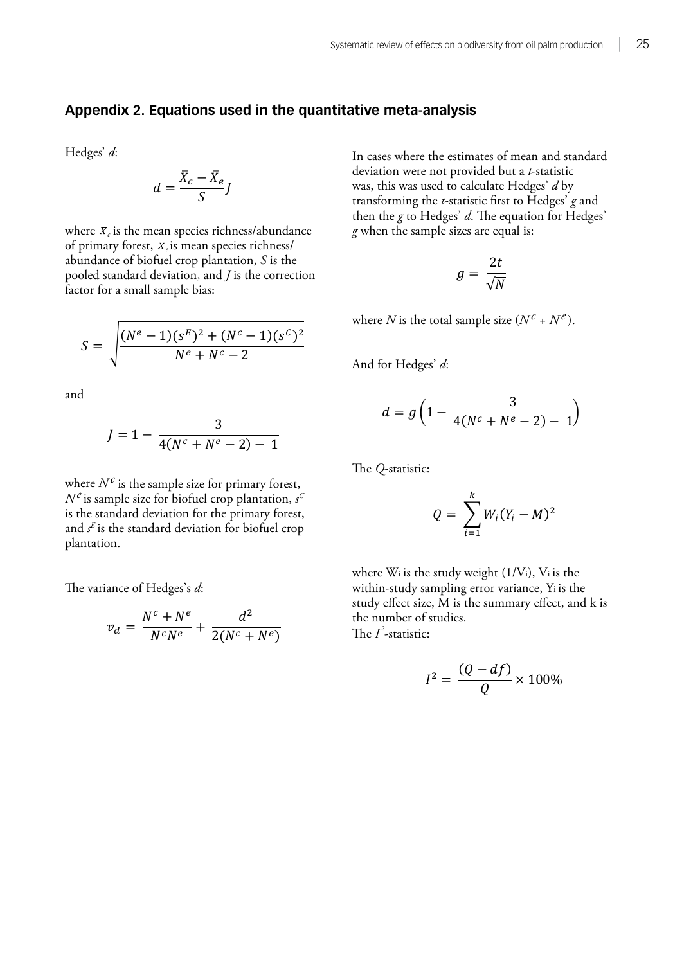# <span id="page-31-0"></span>Appendix 2. Equations used in the quantitative meta-analysis

Hedges' *d*:

$$
d = \frac{\bar{X}_c - \bar{X}_e}{S}J
$$
   
we can use the equation we  
was, this was  
transforming

where  $\bar{x}_c$  is the mean species richness/abundance g when the sample abundance of biofuel crop plantation, *S* is the factor for a small sample bias: abundance of biotuer crop plantation, 5 is the<br>pooled standard deviation, and *J* is the correction of primary forest,  $\bar{x}_e$  is mean species richness/

$$
S = \sqrt{\frac{(N^e - 1)(s^E)^2 + (N^c - 1)(s^C)^2}{N^e + N^c - 2}}
$$
 where *N* is the to

i<br>L and

$$
J = 1 - \frac{3}{4(N^c + N^e - 2) - 1}
$$

!!<br>.. where *Nc* is the sample size for primary forest, *Ne* is sample size for biofuel crop plantation, *s* is the standard deviation for the primary forest, where *Nc* is the sample size for primary forest, where  $\frac{1}{\sqrt{N}}$  is the same size for  $\frac{1}{\sqrt{N}}$  or  $\frac{1}{\sqrt{N}}$  or  $\frac{1}{\sqrt{N}}$  plantation, *s* plantation. *<sup>E</sup>* is the standard deviation for biofuel crop The variance of Hedges's *d*:  $N^e$  is sample size for biofuel crop plantation,  $s^G$ and  $s^E$  is the standard deviation for biofuel crop

The variance of Hedges's *d*:

$$
v_d = \frac{N^c + N^e}{N^c N^e} + \frac{d^2}{2(N^c + N^e)}
$$

 $\frac{1}{2}$  is the mean species richness richness richness richness when  $a = \frac{S}{\sqrt{S}}$  is the plantation,  $a = \frac{S}{\sqrt{S}}$  is the poole of *S* is the poole of *J* is the *J* is the *J* is the *J* is the *J* is the *J* is the *J* is the *J* is the *J* is the *J* is the *J* is the *J* is the *J* statistic was, this was used to calculate Hedges' *d* by transforming the *t*-statistic first to Hedges' deviation were not provided but a *t*-statistic transforming the *t*-statistic first to Hedges' *g* and then the *g* to Hedges' *d*. The equation for Hedges' In cases where the estimates of mean and standard was, this was used to calculate Hedges' *d* by *g* when the sample sizes are equal is:

$$
g=\frac{2t}{\sqrt{N}}
$$

where *N* is the total sample size  $(N^c + N^e)$ .

And for Hedges' *d*:

$$
d = g\left(1 - \frac{3}{4(N^c + N^e - 2) - 1}\right)
$$

The *Q*-statistic:

p plantation, 
$$
s^C
$$
  
primary forest,  
for biofuel crop  
q =  $\sum_{i=1}^k W_i (Y_i - M)^2$ 

where  $W_i$  is the study weight  $(1/V_i)$ ,  $V_i$  is the  $d^2$  is the number of study<br>d<sup>2</sup> the number of study within-study sampling error variance, Ti is the study study effect size, M is the summary effect, and k is  $\overline{N^c + N^e}$  The *I*<sup>2</sup>-statistic: within-study sampling error variance, Yi is the the number of studies.

$$
I^2 = \frac{(Q - df)}{Q} \times 100\%
$$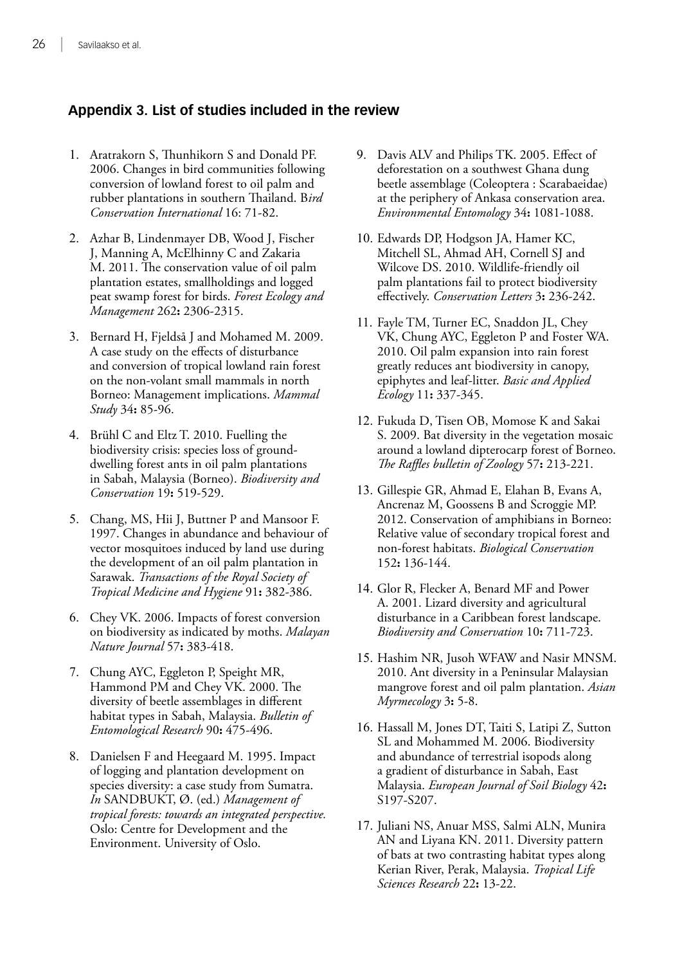## <span id="page-32-0"></span>**Appendix 3. List of studies included in the review**

- 1. Aratrakorn S, Thunhikorn S and Donald PF. 2006. Changes in bird communities following conversion of lowland forest to oil palm and rubber plantations in southern Thailand. B*ird Conservation International* 16: 71-82.
- 2. Azhar B, Lindenmayer DB, Wood J, Fischer J, Manning A, McElhinny C and Zakaria M. 2011. The conservation value of oil palm plantation estates, smallholdings and logged peat swamp forest for birds. *Forest Ecology and Management* 262**:** 2306-2315.
- 3. Bernard H, Fjeldså J and Mohamed M. 2009. A case study on the effects of disturbance and conversion of tropical lowland rain forest on the non-volant small mammals in north Borneo: Management implications. *Mammal Study* 34**:** 85-96.
- 4. Brühl C and Eltz T. 2010. Fuelling the biodiversity crisis: species loss of grounddwelling forest ants in oil palm plantations in Sabah, Malaysia (Borneo). *Biodiversity and Conservation* 19**:** 519-529.
- 5. Chang, MS, Hii J, Buttner P and Mansoor F. 1997. Changes in abundance and behaviour of vector mosquitoes induced by land use during the development of an oil palm plantation in Sarawak. *Transactions of the Royal Society of Tropical Medicine and Hygiene* 91**:** 382-386.
- 6. Chey VK. 2006. Impacts of forest conversion on biodiversity as indicated by moths. *Malayan Nature Journal* 57**:** 383-418.
- 7. Chung AYC, Eggleton P, Speight MR, Hammond PM and Chey VK. 2000. The diversity of beetle assemblages in different habitat types in Sabah, Malaysia. *Bulletin of Entomological Research* 90**:** 475-496.
- 8. Danielsen F and Heegaard M. 1995. Impact of logging and plantation development on species diversity: a case study from Sumatra. *In* SANDBUKT, Ø. (ed.) *Management of tropical forests: towards an integrated perspective.* Oslo: Centre for Development and the Environment. University of Oslo.
- 9. Davis ALV and Philips TK. 2005. Effect of deforestation on a southwest Ghana dung beetle assemblage (Coleoptera : Scarabaeidae) at the periphery of Ankasa conservation area. *Environmental Entomology* 34**:** 1081-1088.
- 10. Edwards DP, Hodgson JA, Hamer KC, Mitchell SL, Ahmad AH, Cornell SJ and Wilcove DS. 2010. Wildlife-friendly oil palm plantations fail to protect biodiversity effectively. *Conservation Letters* 3**:** 236-242.
- 11. Fayle TM, Turner EC, Snaddon JL, Chey VK, Chung AYC, Eggleton P and Foster WA. 2010. Oil palm expansion into rain forest greatly reduces ant biodiversity in canopy, epiphytes and leaf-litter. *Basic and Applied Ecology* 11**:** 337-345.
- 12. Fukuda D, Tisen OB, Momose K and Sakai S. 2009. Bat diversity in the vegetation mosaic around a lowland dipterocarp forest of Borneo. *The Raffles bulletin of Zoology* 57**:** 213-221.
- 13. Gillespie GR, Ahmad E, Elahan B, Evans A, Ancrenaz M, Goossens B and Scroggie MP. 2012. Conservation of amphibians in Borneo: Relative value of secondary tropical forest and non-forest habitats. *Biological Conservation* 152**:** 136-144.
- 14. Glor R, Flecker A, Benard MF and Power A. 2001. Lizard diversity and agricultural disturbance in a Caribbean forest landscape. *Biodiversity and Conservation* 10**:** 711-723.
- 15. Hashim NR, Jusoh WFAW and Nasir MNSM. 2010. Ant diversity in a Peninsular Malaysian mangrove forest and oil palm plantation. *Asian Myrmecology* 3**:** 5-8.
- 16. Hassall M, Jones DT, Taiti S, Latipi Z, Sutton SL and Mohammed M. 2006. Biodiversity and abundance of terrestrial isopods along a gradient of disturbance in Sabah, East Malaysia. *European Journal of Soil Biology* 42**:** S197-S207.
- 17. Juliani NS, Anuar MSS, Salmi ALN, Munira AN and Liyana KN. 2011. Diversity pattern of bats at two contrasting habitat types along Kerian River, Perak, Malaysia. *Tropical Life Sciences Research* 22**:** 13-22.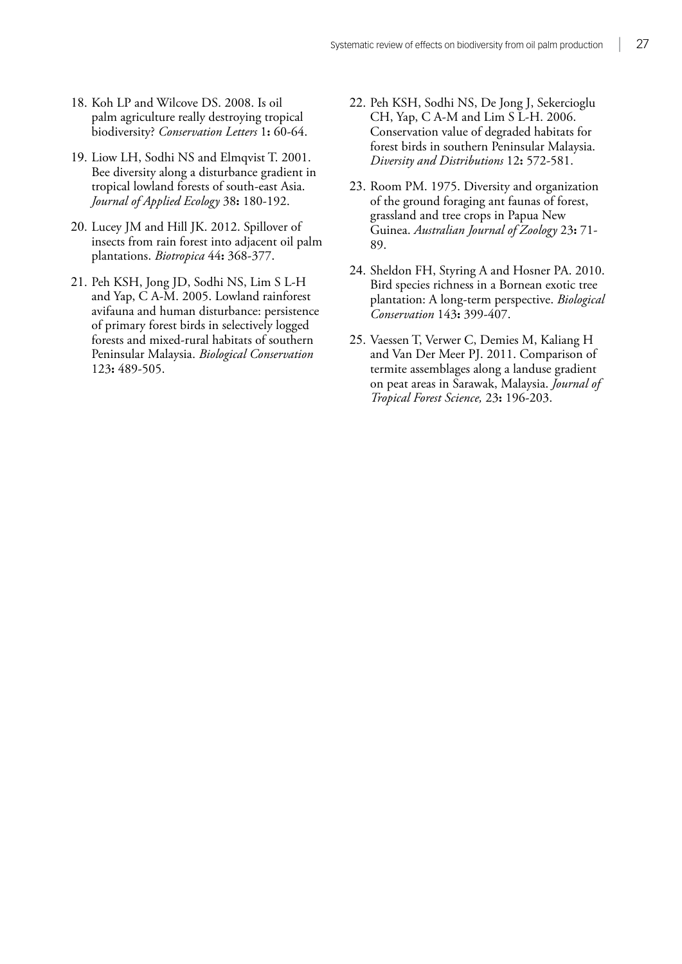- 18. Koh LP and Wilcove DS. 2008. Is oil palm agriculture really destroying tropical biodiversity? *Conservation Letters* 1**:** 60-64.
- 19. Liow LH, Sodhi NS and Elmqvist T. 2001. Bee diversity along a disturbance gradient in tropical lowland forests of south-east Asia. *Journal of Applied Ecology* 38**:** 180-192.
- 20. Lucey JM and Hill JK. 2012. Spillover of insects from rain forest into adjacent oil palm plantations. *Biotropica* 44**:** 368-377.
- 21. Peh KSH, Jong JD, Sodhi NS, Lim S L-H and Yap, C A-M. 2005. Lowland rainforest avifauna and human disturbance: persistence of primary forest birds in selectively logged forests and mixed-rural habitats of southern Peninsular Malaysia. *Biological Conservation* 123**:** 489-505.
- 22. Peh KSH, Sodhi NS, De Jong J, Sekercioglu CH, Yap, C A-M and Lim S L-H. 2006. Conservation value of degraded habitats for forest birds in southern Peninsular Malaysia. *Diversity and Distributions* 12**:** 572-581.
- 23. Room PM. 1975. Diversity and organization of the ground foraging ant faunas of forest, grassland and tree crops in Papua New Guinea. *Australian Journal of Zoology* 23**:** 71- 89.
- 24. Sheldon FH, Styring A and Hosner PA. 2010. Bird species richness in a Bornean exotic tree plantation: A long-term perspective. *Biological Conservation* 143**:** 399-407.
- 25. Vaessen T, Verwer C, Demies M, Kaliang H and Van Der Meer PJ. 2011. Comparison of termite assemblages along a landuse gradient on peat areas in Sarawak, Malaysia. *Journal of Tropical Forest Science,* 23**:** 196-203.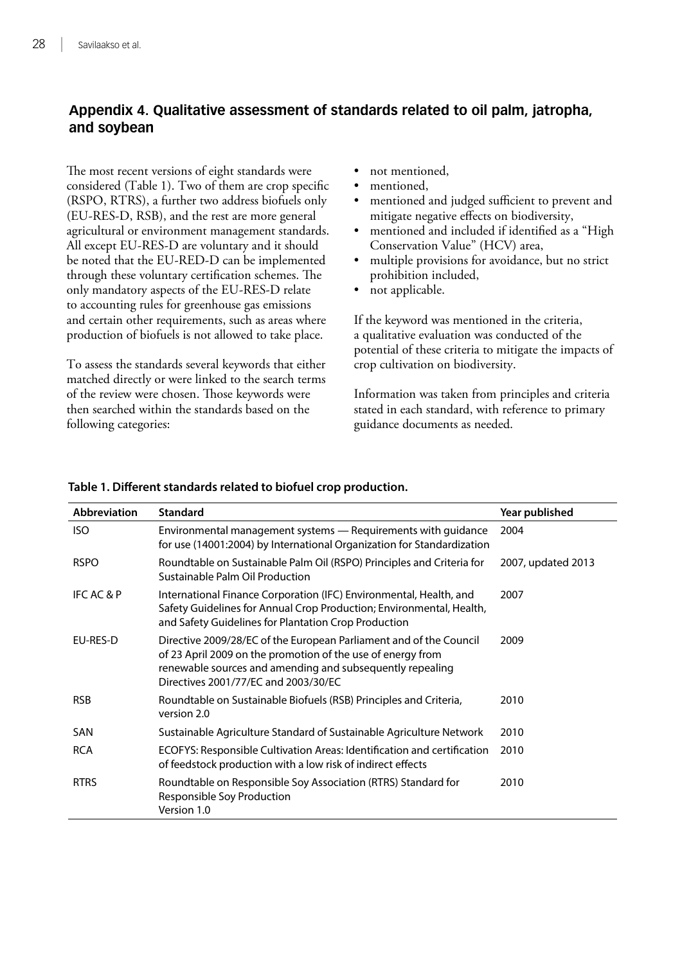## <span id="page-34-0"></span>**Appendix 4. Qualitative assessment of standards related to oil palm, jatropha, and soybean**

The most recent versions of eight standards were considered (Table 1). Two of them are crop specific (RSPO, RTRS), a further two address biofuels only (EU-RES-D, RSB), and the rest are more general agricultural or environment management standards. All except EU-RES-D are voluntary and it should be noted that the EU-RED-D can be implemented through these voluntary certification schemes. The only mandatory aspects of the EU-RES-D relate to accounting rules for greenhouse gas emissions and certain other requirements, such as areas where production of biofuels is not allowed to take place.

To assess the standards several keywords that either matched directly or were linked to the search terms of the review were chosen. Those keywords were then searched within the standards based on the following categories:

- not mentioned,
- mentioned.
- mentioned and judged sufficient to prevent and mitigate negative effects on biodiversity,
- mentioned and included if identified as a "High Conservation Value" (HCV) area,
- multiple provisions for avoidance, but no strict prohibition included,
- not applicable.

If the keyword was mentioned in the criteria, a qualitative evaluation was conducted of the potential of these criteria to mitigate the impacts of crop cultivation on biodiversity.

Information was taken from principles and criteria stated in each standard, with reference to primary guidance documents as needed.

| <b>Abbreviation</b>   | <b>Standard</b>                                                                                                                                                                                                                        | Year published     |
|-----------------------|----------------------------------------------------------------------------------------------------------------------------------------------------------------------------------------------------------------------------------------|--------------------|
| <b>ISO</b>            | Environmental management systems - Requirements with guidance<br>for use (14001:2004) by International Organization for Standardization                                                                                                | 2004               |
| <b>RSPO</b>           | Roundtable on Sustainable Palm Oil (RSPO) Principles and Criteria for<br>Sustainable Palm Oil Production                                                                                                                               | 2007, updated 2013 |
| <b>IFC AC &amp; P</b> | International Finance Corporation (IFC) Environmental, Health, and<br>Safety Guidelines for Annual Crop Production; Environmental, Health,<br>and Safety Guidelines for Plantation Crop Production                                     | 2007               |
| EU-RES-D              | Directive 2009/28/EC of the European Parliament and of the Council<br>of 23 April 2009 on the promotion of the use of energy from<br>renewable sources and amending and subsequently repealing<br>Directives 2001/77/FC and 2003/30/FC | 2009               |
| <b>RSB</b>            | Roundtable on Sustainable Biofuels (RSB) Principles and Criteria,<br>version 2.0                                                                                                                                                       | 2010               |
| SAN                   | Sustainable Agriculture Standard of Sustainable Agriculture Network                                                                                                                                                                    | 2010               |
| <b>RCA</b>            | ECOFYS: Responsible Cultivation Areas: Identification and certification<br>of feedstock production with a low risk of indirect effects                                                                                                 | 2010               |
| <b>RTRS</b>           | Roundtable on Responsible Soy Association (RTRS) Standard for<br>Responsible Soy Production<br>Version 1.0                                                                                                                             | 2010               |

#### **Table 1. Different standards related to biofuel crop production.**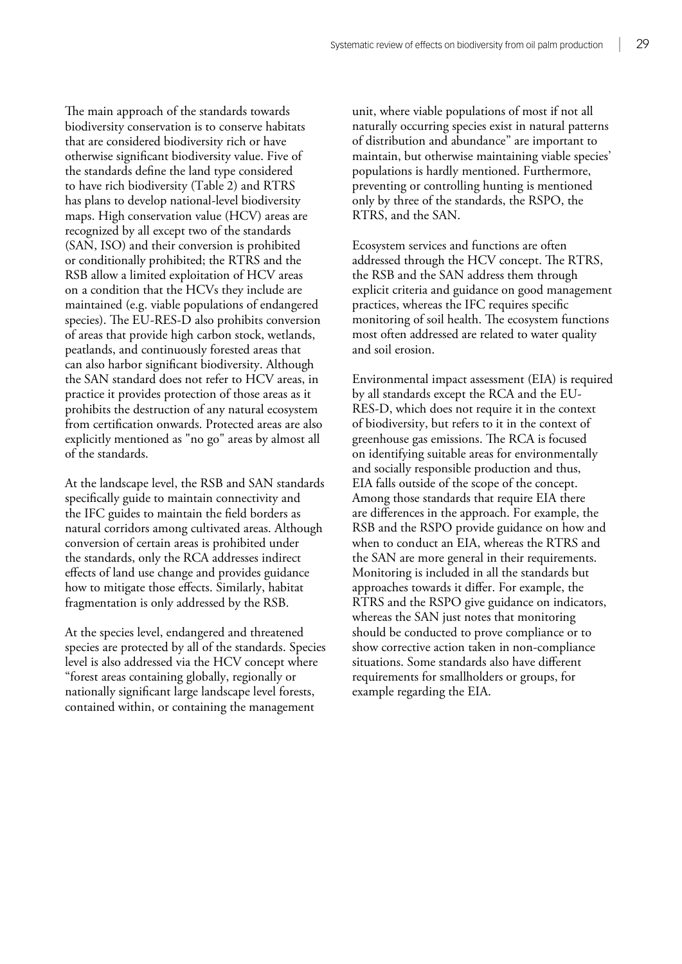The main approach of the standards towards biodiversity conservation is to conserve habitats that are considered biodiversity rich or have otherwise significant biodiversity value. Five of the standards define the land type considered to have rich biodiversity (Table 2) and RTRS has plans to develop national-level biodiversity maps. High conservation value (HCV) areas are recognized by all except two of the standards (SAN, ISO) and their conversion is prohibited or conditionally prohibited; the RTRS and the RSB allow a limited exploitation of HCV areas on a condition that the HCVs they include are maintained (e.g. viable populations of endangered species). The EU-RES-D also prohibits conversion of areas that provide high carbon stock, wetlands, peatlands, and continuously forested areas that can also harbor significant biodiversity. Although the SAN standard does not refer to HCV areas, in practice it provides protection of those areas as it prohibits the destruction of any natural ecosystem from certification onwards. Protected areas are also explicitly mentioned as "no go" areas by almost all of the standards.

At the landscape level, the RSB and SAN standards specifically guide to maintain connectivity and the IFC guides to maintain the field borders as natural corridors among cultivated areas. Although conversion of certain areas is prohibited under the standards, only the RCA addresses indirect effects of land use change and provides guidance how to mitigate those effects. Similarly, habitat fragmentation is only addressed by the RSB.

At the species level, endangered and threatened species are protected by all of the standards. Species level is also addressed via the HCV concept where "forest areas containing globally, regionally or nationally significant large landscape level forests, contained within, or containing the management

unit, where viable populations of most if not all naturally occurring species exist in natural patterns of distribution and abundance" are important to maintain, but otherwise maintaining viable species' populations is hardly mentioned. Furthermore, preventing or controlling hunting is mentioned only by three of the standards, the RSPO, the RTRS, and the SAN.

Ecosystem services and functions are often addressed through the HCV concept. The RTRS, the RSB and the SAN address them through explicit criteria and guidance on good management practices, whereas the IFC requires specific monitoring of soil health. The ecosystem functions most often addressed are related to water quality and soil erosion.

Environmental impact assessment (EIA) is required by all standards except the RCA and the EU-RES-D, which does not require it in the context of biodiversity, but refers to it in the context of greenhouse gas emissions. The RCA is focused on identifying suitable areas for environmentally and socially responsible production and thus, EIA falls outside of the scope of the concept. Among those standards that require EIA there are differences in the approach. For example, the RSB and the RSPO provide guidance on how and when to conduct an EIA, whereas the RTRS and the SAN are more general in their requirements. Monitoring is included in all the standards but approaches towards it differ. For example, the RTRS and the RSPO give guidance on indicators, whereas the SAN just notes that monitoring should be conducted to prove compliance or to show corrective action taken in non-compliance situations. Some standards also have different requirements for smallholders or groups, for example regarding the EIA.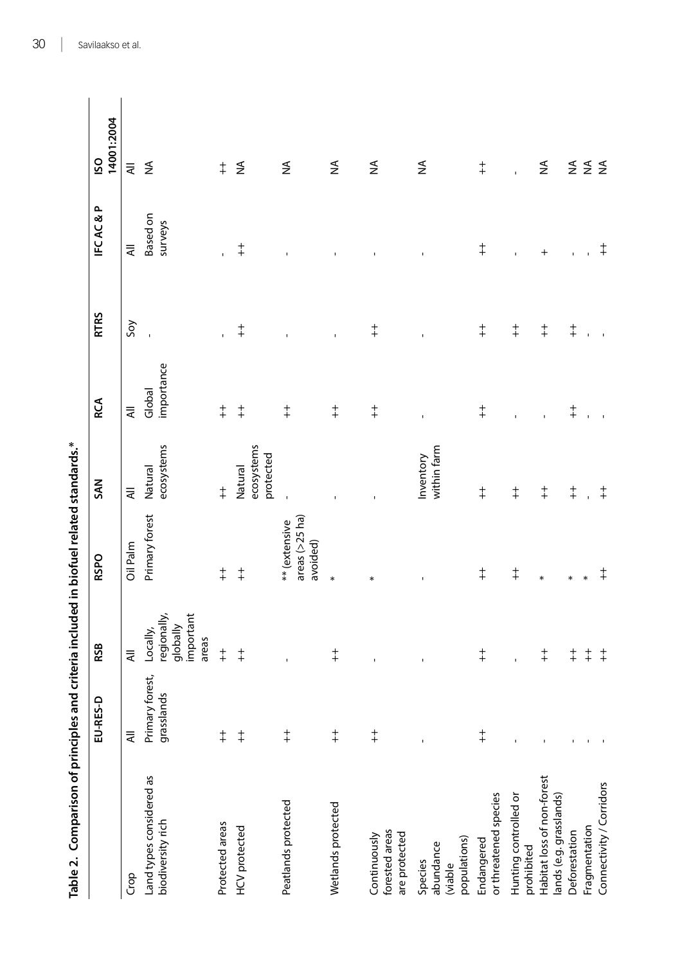| Table 2. Comparison of principles and criteria included in biofuel related standards.* |                               |                                |                                               |                                    |                      |                |                            |                   |
|----------------------------------------------------------------------------------------|-------------------------------|--------------------------------|-----------------------------------------------|------------------------------------|----------------------|----------------|----------------------------|-------------------|
|                                                                                        | EU-RES-D                      | <b>RSB</b>                     | <b>RSPO</b>                                   | <b>SAN</b>                         | <b>RCA</b>           | <b>RTRS</b>    | <b>IFCAC&amp;P</b>         | 14001:2004<br>ISO |
| Crop                                                                                   | ₹                             | $\equiv$                       | Oil Palm                                      | $\equiv$                           | ₹                    | Soy            | $\equiv$                   | $\equiv$          |
| Land types considered as<br>biodiversity rich                                          | Primary forest,<br>grasslands | regionally,<br>Locally,        | Primary forest                                | ecosystems<br>Natural              | importance<br>Global |                | <b>Based on</b><br>surveys | $\lessapprox$     |
|                                                                                        |                               | important<br>globally<br>areas |                                               |                                    |                      |                |                            |                   |
| Protected areas                                                                        | $\ddagger$                    | $\ddagger$                     | $\ddagger$                                    | $\ddagger$                         | $\ddagger$           | r.             |                            | $\ddagger$        |
| <b>HCV</b> protected                                                                   | $\ddagger$                    | $\ddagger$                     | $\ddagger$                                    | ecosystems<br>protected<br>Natural | $\ddagger$           | $\ddagger$     | $\ddagger$                 | $\lessgtr$        |
| Peatlands protected                                                                    | $\ddagger$                    |                                | areas $(>25$ ha)<br>** (extensive<br>avoided) |                                    | $\ddagger$           |                |                            | $\lessgtr$        |
| Wetlands protected                                                                     | $\ddagger$                    | $\ddagger$                     | $\ast$                                        |                                    | $\ddagger$           | $\mathbf I$    |                            | ≨                 |
| forested areas<br>are protected<br>Continuously                                        | $\ddagger$                    | $\blacksquare$                 | $\ast$                                        |                                    | $\ddagger$           | $\ddagger$     |                            | $\lessgtr$        |
| populations)<br>abundance<br>Species<br>(viable                                        | $\mathbf{I}$                  | $\mathbf{I}$                   | $\mathbf I$                                   | within farm<br>Inventory           | $\mathbf{I}$         | $\mathbf I$    |                            | ≨                 |
| or threatened species<br>Endangered                                                    | $\ddagger$                    | $\ddagger$                     | $\ddagger$                                    | $\ddagger$                         | $\ddagger$           | $\ddagger$     | $\ddagger$                 | $\ddagger$        |
| Hunting controlled or<br>prohibited                                                    | ï                             | $\mathbf{I}$                   | $\ddagger$                                    | $\ddagger$                         | $\blacksquare$       | $\ddagger$     | $\mathbf{I}$               | $\mathbf{I}$      |
| Habitat loss of non-forest<br>lands (e.g. grasslands)                                  |                               | $\ddagger$                     | $\ast$                                        | $\ddagger$                         | $\overline{1}$       | $\ddagger$     | $\ddot{}$                  | $\lessgtr$        |
| Deforestation                                                                          |                               | $\ddagger$                     | $\ast$                                        | $\ddagger$                         | $\ddagger$           | $\ddagger$     | $\bar{\Gamma}$             | $\Sigma \Sigma$   |
| Fragmentation                                                                          |                               | $\ddagger$                     | $\ast$                                        |                                    |                      | $\overline{1}$ |                            |                   |
| Connectivity / Corridors                                                               |                               | $\ddagger$                     | $\ddagger$                                    | $\ddagger$                         |                      | $\mathbf{r}$   | $\ddagger$                 |                   |

Table 2. Comparison of principles and criteria included in biofuel related standards.\*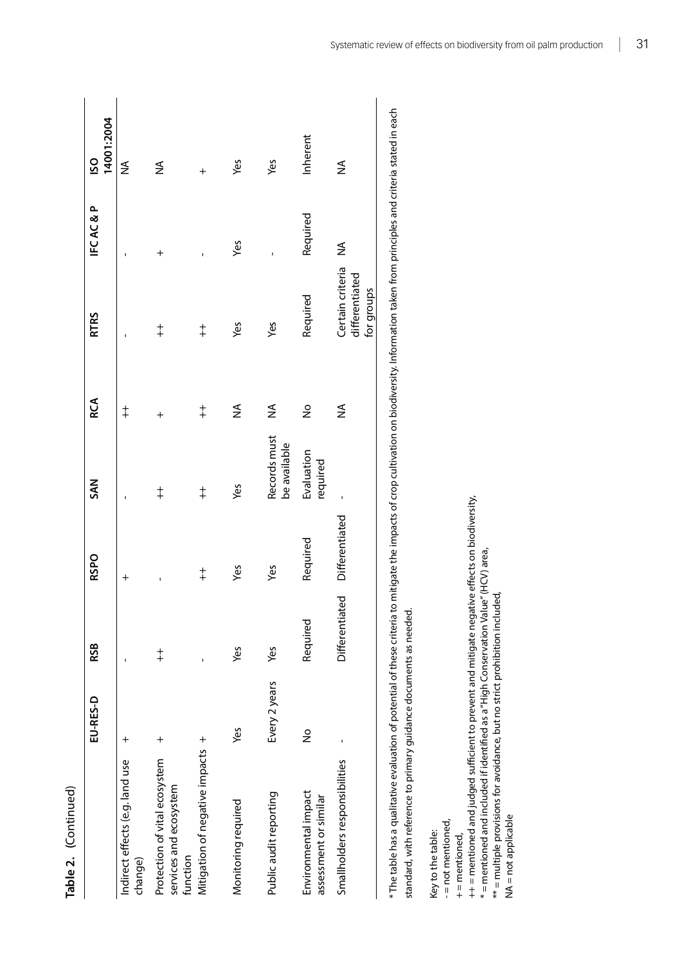| Table 2. (Continued)                                                |               |                |                |                              |            |                                                  |                    |                   |
|---------------------------------------------------------------------|---------------|----------------|----------------|------------------------------|------------|--------------------------------------------------|--------------------|-------------------|
|                                                                     | EU-RES-D      | RSB            | <b>RSPO</b>    | SAN                          | <b>RCA</b> | <b>RTRS</b>                                      | <b>IFCAC&amp;P</b> | 14001:2004<br>ISO |
| Indirect effects (e.g. land use<br>change)                          | $\,{}^+$      |                | $^{+}$         |                              | $\ddagger$ |                                                  | ï                  | ≨                 |
| Protection of vital ecosystem<br>services and ecosystem<br>function | $^{+}$        | $\ddagger$     | ı              | $\ddagger$                   | $\ddot{}$  | $\ddagger$                                       | $^{+}$             | ≨                 |
| Mitigation of negative impacts +                                    |               |                | $\ddagger$     | $\ddagger$                   | $\ddagger$ | $\ddagger$                                       | ı                  | $^{+}$            |
| Monitoring required                                                 | Yes           | Yes            | Yes            | Yes                          | ≨          | Yes                                              | Yes                | Yes               |
| Public audit reporting                                              | Every 2 years | Yes            | Yes            | Records must<br>be available | ≨          | yes                                              |                    | Yes               |
| Environmental impact<br>assessment or similar                       | $\frac{1}{2}$ | Required       | Required       | Evaluation<br>required       | å          | Required                                         | Required           | Inherent          |
| Smallholders responsibilities                                       |               | Differentiated | Differentiated |                              | ≨          | Certain criteria<br>differentiated<br>for groups | ≸                  | ≨                 |

\* The table has a qualitative evaluation of potential of these criteria to mitigate the impacts of crop cultivation on biodiversity. Information taken from principles and criteria stated in each  $*$  The table has a qualitative evaluation of potential of these criteria to mitigate the impacts of crop cultivation on biodiversity. Information taken from principles and criteria stated in each standard, with reference to primary guidance documents as needed. standard, with reference to primary guidance documents as needed.

Key to the table: Key to the table:

- = not mentioned, - = not mentioned,

 $+$  = mentioned, + = mentioned,

++ = mentioned and judged sufficient to prevent and mitigate negative effects on biodiversity,<br>\* = mentioned and included if identified as a "High Conservation Value" (HCV) area,  $++$  = mentioned and judged sufficient to prevent and mitigate negative effects on biodiversity,

 $* =$  mentioned and included if identified as a "High Conservation Value" (HCV) area,

\*\* = multiple provisions for avoidance, but no strict prohibition included,  $**$  = multiple provisions for avoidance, but no strict prohibition included,

NA = not applicable NA = not applicable